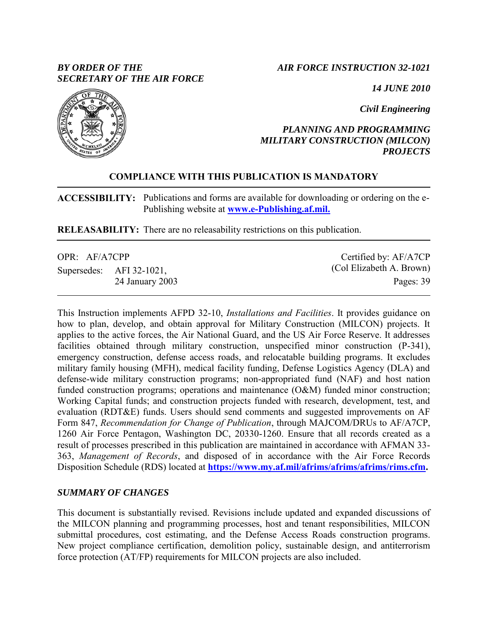# *BY ORDER OF THE SECRETARY OF THE AIR FORCE*

# *AIR FORCE INSTRUCTION 32-1021*

*14 JUNE 2010*

*Civil Engineering*

# *PLANNING AND PROGRAMMING MILITARY CONSTRUCTION (MILCON) PROJECTS*

# **COMPLIANCE WITH THIS PUBLICATION IS MANDATORY**

**ACCESSIBILITY:** Publications and forms are available for downloading or ordering on the e-Publishing website at **[www.e-Publishing.af.mil.](http://www.e-publishing.af.mil./)**

**RELEASABILITY:** There are no releasability restrictions on this publication.

| OPR: AF/A7CPP |  |                          | Certified by: AF/A7CP    |  |
|---------------|--|--------------------------|--------------------------|--|
|               |  | Supersedes: AFI 32-1021, | (Col Elizabeth A. Brown) |  |
|               |  | 24 January 2003          | Pages: 39                |  |

This Instruction implements AFPD 32-10, *Installations and Facilities*. It provides guidance on how to plan, develop, and obtain approval for Military Construction (MILCON) projects. It applies to the active forces, the Air National Guard, and the US Air Force Reserve. It addresses facilities obtained through military construction, unspecified minor construction (P-341), emergency construction, defense access roads, and relocatable building programs. It excludes military family housing (MFH), medical facility funding, Defense Logistics Agency (DLA) and defense-wide military construction programs; non-appropriated fund (NAF) and host nation funded construction programs; operations and maintenance (O&M) funded minor construction; Working Capital funds; and construction projects funded with research, development, test, and evaluation (RDT&E) funds. Users should send comments and suggested improvements on AF Form 847, *Recommendation for Change of Publication*, through MAJCOM/DRUs to AF/A7CP, 1260 Air Force Pentagon, Washington DC, 20330-1260. Ensure that all records created as a result of processes prescribed in this publication are maintained in accordance with AFMAN 33- 363, *Management of Records*, and disposed of in accordance with the Air Force Records Disposition Schedule (RDS) located at **[https://www.my.af.mil/afrims/afrims/afrims/rims.cfm.](https://www.my.af.mil/afrims/afrims/afrims/rims.cfm)**

# *SUMMARY OF CHANGES*

This document is substantially revised. Revisions include updated and expanded discussions of the MILCON planning and programming processes, host and tenant responsibilities, MILCON submittal procedures, cost estimating, and the Defense Access Roads construction programs. New project compliance certification, demolition policy, sustainable design, and antiterrorism force protection (AT/FP) requirements for MILCON projects are also included.

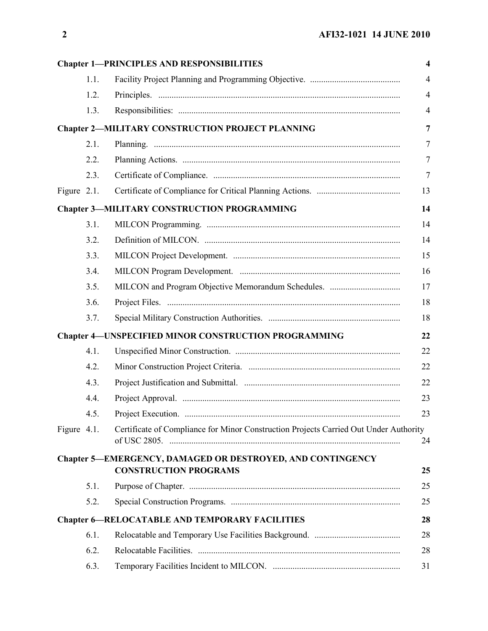|             |      | <b>Chapter 1-PRINCIPLES AND RESPONSIBILITIES</b>                                           | $\overline{\mathbf{4}}$ |
|-------------|------|--------------------------------------------------------------------------------------------|-------------------------|
|             | 1.1. |                                                                                            | $\overline{4}$          |
|             | 1.2. |                                                                                            | $\overline{4}$          |
|             | 1.3. |                                                                                            | $\overline{4}$          |
|             |      | <b>Chapter 2-MILITARY CONSTRUCTION PROJECT PLANNING</b>                                    | $\overline{7}$          |
|             | 2.1. |                                                                                            | $\overline{7}$          |
|             | 2.2. |                                                                                            | $\tau$                  |
|             | 2.3. |                                                                                            | $\overline{7}$          |
| Figure 2.1. |      |                                                                                            | 13                      |
|             |      | <b>Chapter 3-MILITARY CONSTRUCTION PROGRAMMING</b>                                         | 14                      |
|             | 3.1. |                                                                                            | 14                      |
|             | 3.2. |                                                                                            | 14                      |
|             | 3.3. |                                                                                            | 15                      |
|             | 3.4. |                                                                                            | 16                      |
|             | 3.5. |                                                                                            | 17                      |
|             | 3.6. |                                                                                            | 18                      |
|             | 3.7. |                                                                                            | 18                      |
|             |      | <b>Chapter 4-UNSPECIFIED MINOR CONSTRUCTION PROGRAMMING</b>                                | 22                      |
|             | 4.1. |                                                                                            | 22                      |
|             | 4.2. |                                                                                            | 22                      |
|             | 4.3. |                                                                                            | 22                      |
|             | 4.4. |                                                                                            | 23                      |
|             | 4.5. |                                                                                            | 23                      |
| Figure 4.1. |      | Certificate of Compliance for Minor Construction Projects Carried Out Under Authority      | 24                      |
|             |      | Chapter 5-EMERGENCY, DAMAGED OR DESTROYED, AND CONTINGENCY<br><b>CONSTRUCTION PROGRAMS</b> | 25                      |
|             | 5.1. |                                                                                            | 25                      |
|             | 5.2. |                                                                                            | 25                      |
|             |      | <b>Chapter 6-RELOCATABLE AND TEMPORARY FACILITIES</b>                                      | 28                      |
|             | 6.1. |                                                                                            | 28                      |
|             | 6.2. |                                                                                            | 28                      |
|             | 6.3. |                                                                                            | 31                      |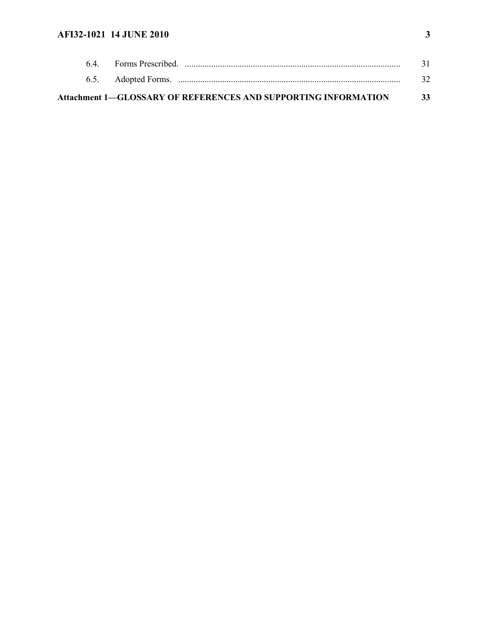# **AFI32-1021 14 JUNE 2010 3**

| <b>Attachment 1–GLOSSARY OF REFERENCES AND SUPPORTING INFORMATION</b> | 33 |
|-----------------------------------------------------------------------|----|
|                                                                       |    |
|                                                                       |    |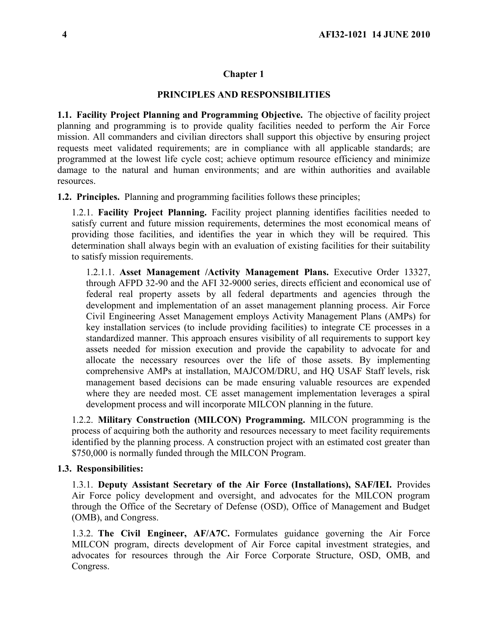## <span id="page-3-0"></span>**Chapter 1**

## **PRINCIPLES AND RESPONSIBILITIES**

<span id="page-3-1"></span>**1.1. Facility Project Planning and Programming Objective.** The objective of facility project planning and programming is to provide quality facilities needed to perform the Air Force mission. All commanders and civilian directors shall support this objective by ensuring project requests meet validated requirements; are in compliance with all applicable standards; are programmed at the lowest life cycle cost; achieve optimum resource efficiency and minimize damage to the natural and human environments; and are within authorities and available resources.

<span id="page-3-2"></span>**1.2. Principles.** Planning and programming facilities follows these principles;

1.2.1. **Facility Project Planning.** Facility project planning identifies facilities needed to satisfy current and future mission requirements, determines the most economical means of providing those facilities, and identifies the year in which they will be required. This determination shall always begin with an evaluation of existing facilities for their suitability to satisfy mission requirements.

1.2.1.1. **Asset Management /Activity Management Plans.** Executive Order 13327, through AFPD 32-90 and the AFI 32-9000 series, directs efficient and economical use of federal real property assets by all federal departments and agencies through the development and implementation of an asset management planning process. Air Force Civil Engineering Asset Management employs Activity Management Plans (AMPs) for key installation services (to include providing facilities) to integrate CE processes in a standardized manner. This approach ensures visibility of all requirements to support key assets needed for mission execution and provide the capability to advocate for and allocate the necessary resources over the life of those assets. By implementing comprehensive AMPs at installation, MAJCOM/DRU, and HQ USAF Staff levels, risk management based decisions can be made ensuring valuable resources are expended where they are needed most. CE asset management implementation leverages a spiral development process and will incorporate MILCON planning in the future.

1.2.2. **Military Construction (MILCON) Programming.** MILCON programming is the process of acquiring both the authority and resources necessary to meet facility requirements identified by the planning process. A construction project with an estimated cost greater than \$750,000 is normally funded through the MILCON Program.

#### <span id="page-3-3"></span>**1.3. Responsibilities:**

1.3.1. **Deputy Assistant Secretary of the Air Force (Installations), SAF/IEI.** Provides Air Force policy development and oversight, and advocates for the MILCON program through the Office of the Secretary of Defense (OSD), Office of Management and Budget (OMB), and Congress.

1.3.2. **The Civil Engineer, AF/A7C.** Formulates guidance governing the Air Force MILCON program, directs development of Air Force capital investment strategies, and advocates for resources through the Air Force Corporate Structure, OSD, OMB, and Congress.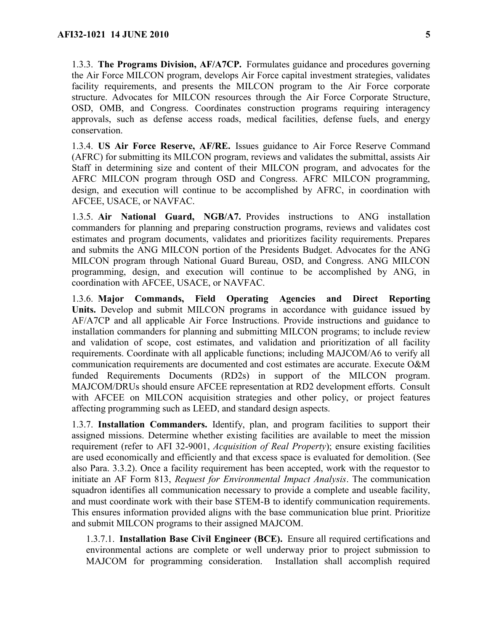1.3.3. **The Programs Division, AF/A7CP.** Formulates guidance and procedures governing the Air Force MILCON program, develops Air Force capital investment strategies, validates facility requirements, and presents the MILCON program to the Air Force corporate structure. Advocates for MILCON resources through the Air Force Corporate Structure, OSD, OMB, and Congress. Coordinates construction programs requiring interagency approvals, such as defense access roads, medical facilities, defense fuels, and energy conservation.

1.3.4. **US Air Force Reserve, AF/RE.** Issues guidance to Air Force Reserve Command (AFRC) for submitting its MILCON program, reviews and validates the submittal, assists Air Staff in determining size and content of their MILCON program, and advocates for the AFRC MILCON program through OSD and Congress. AFRC MILCON programming, design, and execution will continue to be accomplished by AFRC, in coordination with AFCEE, USACE, or NAVFAC.

1.3.5. **Air National Guard, NGB/A7.** Provides instructions to ANG installation commanders for planning and preparing construction programs, reviews and validates cost estimates and program documents, validates and prioritizes facility requirements. Prepares and submits the ANG MILCON portion of the Presidents Budget. Advocates for the ANG MILCON program through National Guard Bureau, OSD, and Congress. ANG MILCON programming, design, and execution will continue to be accomplished by ANG, in coordination with AFCEE, USACE, or NAVFAC.

1.3.6. **Major Commands, Field Operating Agencies and Direct Reporting Units.** Develop and submit MILCON programs in accordance with guidance issued by AF/A7CP and all applicable Air Force Instructions. Provide instructions and guidance to installation commanders for planning and submitting MILCON programs; to include review and validation of scope, cost estimates, and validation and prioritization of all facility requirements. Coordinate with all applicable functions; including MAJCOM/A6 to verify all communication requirements are documented and cost estimates are accurate. Execute O&M funded Requirements Documents (RD2s) in support of the MILCON program. MAJCOM/DRUs should ensure AFCEE representation at RD2 development efforts. Consult with AFCEE on MILCON acquisition strategies and other policy, or project features affecting programming such as LEED, and standard design aspects.

1.3.7. **Installation Commanders.** Identify, plan, and program facilities to support their assigned missions. Determine whether existing facilities are available to meet the mission requirement (refer to AFI 32-9001, *Acquisition of Real Property*); ensure existing facilities are used economically and efficiently and that excess space is evaluated for demolition. (See also Para. 3.3.2). Once a facility requirement has been accepted, work with the requestor to initiate an AF Form 813, *Request for Environmental Impact Analysis*. The communication squadron identifies all communication necessary to provide a complete and useable facility, and must coordinate work with their base STEM-B to identify communication requirements. This ensures information provided aligns with the base communication blue print. Prioritize and submit MILCON programs to their assigned MAJCOM.

1.3.7.1. **Installation Base Civil Engineer (BCE).** Ensure all required certifications and environmental actions are complete or well underway prior to project submission to MAJCOM for programming consideration. Installation shall accomplish required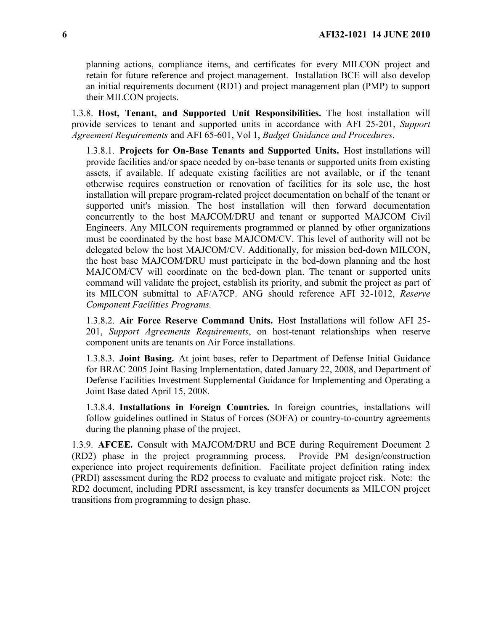planning actions, compliance items, and certificates for every MILCON project and retain for future reference and project management. Installation BCE will also develop an initial requirements document (RD1) and project management plan (PMP) to support their MILCON projects.

1.3.8. **Host, Tenant, and Supported Unit Responsibilities.** The host installation will provide services to tenant and supported units in accordance with AFI 25-201, *Support Agreement Requirements* and AFI 65-601, Vol 1, *Budget Guidance and Procedures*.

1.3.8.1. **Projects for On-Base Tenants and Supported Units.** Host installations will provide facilities and/or space needed by on-base tenants or supported units from existing assets, if available. If adequate existing facilities are not available, or if the tenant otherwise requires construction or renovation of facilities for its sole use, the host installation will prepare program-related project documentation on behalf of the tenant or supported unit's mission. The host installation will then forward documentation concurrently to the host MAJCOM/DRU and tenant or supported MAJCOM Civil Engineers. Any MILCON requirements programmed or planned by other organizations must be coordinated by the host base MAJCOM/CV. This level of authority will not be delegated below the host MAJCOM/CV. Additionally, for mission bed-down MILCON, the host base MAJCOM/DRU must participate in the bed-down planning and the host MAJCOM/CV will coordinate on the bed-down plan. The tenant or supported units command will validate the project, establish its priority, and submit the project as part of its MILCON submittal to AF/A7CP. ANG should reference AFI 32-1012, *Reserve Component Facilities Programs.*

1.3.8.2. **Air Force Reserve Command Units.** Host Installations will follow AFI 25- 201, *Support Agreements Requirements*, on host-tenant relationships when reserve component units are tenants on Air Force installations.

1.3.8.3. **Joint Basing.** At joint bases, refer to Department of Defense Initial Guidance for BRAC 2005 Joint Basing Implementation, dated January 22, 2008, and Department of Defense Facilities Investment Supplemental Guidance for Implementing and Operating a Joint Base dated April 15, 2008.

1.3.8.4. **Installations in Foreign Countries.** In foreign countries, installations will follow guidelines outlined in Status of Forces (SOFA) or country-to-country agreements during the planning phase of the project.

1.3.9. **AFCEE.** Consult with MAJCOM/DRU and BCE during Requirement Document 2 (RD2) phase in the project programming process. Provide PM design/construction experience into project requirements definition. Facilitate project definition rating index (PRDI) assessment during the RD2 process to evaluate and mitigate project risk. Note: the RD2 document, including PDRI assessment, is key transfer documents as MILCON project transitions from programming to design phase.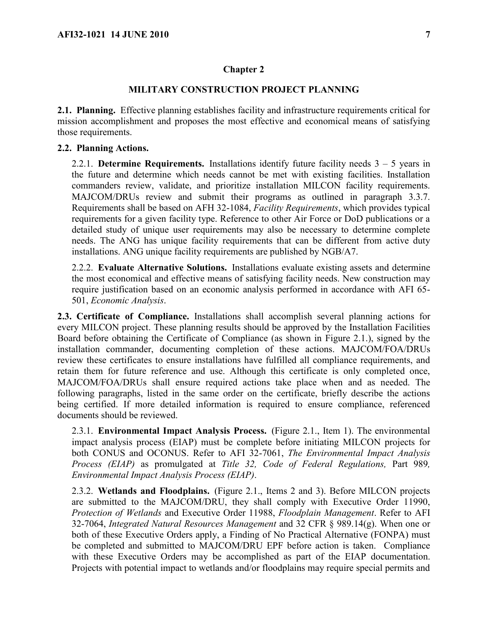#### <span id="page-6-0"></span>**Chapter 2**

## **MILITARY CONSTRUCTION PROJECT PLANNING**

<span id="page-6-1"></span>**2.1. Planning.** Effective planning establishes facility and infrastructure requirements critical for mission accomplishment and proposes the most effective and economical means of satisfying those requirements.

#### <span id="page-6-2"></span>**2.2. Planning Actions.**

2.2.1. **Determine Requirements.** Installations identify future facility needs 3 – 5 years in the future and determine which needs cannot be met with existing facilities. Installation commanders review, validate, and prioritize installation MILCON facility requirements. MAJCOM/DRUs review and submit their programs as outlined in paragraph 3.3.7. Requirements shall be based on AFH 32-1084, *Facility Requirements*, which provides typical requirements for a given facility type. Reference to other Air Force or DoD publications or a detailed study of unique user requirements may also be necessary to determine complete needs. The ANG has unique facility requirements that can be different from active duty installations. ANG unique facility requirements are published by NGB/A7.

2.2.2. **Evaluate Alternative Solutions.** Installations evaluate existing assets and determine the most economical and effective means of satisfying facility needs. New construction may require justification based on an economic analysis performed in accordance with AFI 65- 501, *Economic Analysis*.

<span id="page-6-3"></span>**2.3. Certificate of Compliance.** Installations shall accomplish several planning actions for every MILCON project. These planning results should be approved by the Installation Facilities Board before obtaining the Certificate of Compliance (as shown in Figure 2.1.), signed by the installation commander, documenting completion of these actions. MAJCOM/FOA/DRUs review these certificates to ensure installations have fulfilled all compliance requirements, and retain them for future reference and use. Although this certificate is only completed once, MAJCOM/FOA/DRUs shall ensure required actions take place when and as needed. The following paragraphs, listed in the same order on the certificate, briefly describe the actions being certified. If more detailed information is required to ensure compliance, referenced documents should be reviewed.

2.3.1. **Environmental Impact Analysis Process.** (Figure 2.1., Item 1). The environmental impact analysis process (EIAP) must be complete before initiating MILCON projects for both CONUS and OCONUS. Refer to AFI 32-7061, *The Environmental Impact Analysis Process (EIAP)* as promulgated at *Title 32, Code of Federal Regulations,* Part 989*, Environmental Impact Analysis Process (EIAP)*.

2.3.2. **Wetlands and Floodplains.** (Figure 2.1., Items 2 and 3). Before MILCON projects are submitted to the MAJCOM/DRU, they shall comply with Executive Order 11990, *Protection of Wetlands* and Executive Order 11988, *Floodplain Management*. Refer to AFI 32-7064, *Integrated Natural Resources Management* and 32 CFR § 989.14(g). When one or both of these Executive Orders apply, a Finding of No Practical Alternative (FONPA) must be completed and submitted to MAJCOM/DRU EPF before action is taken. Compliance with these Executive Orders may be accomplished as part of the EIAP documentation. Projects with potential impact to wetlands and/or floodplains may require special permits and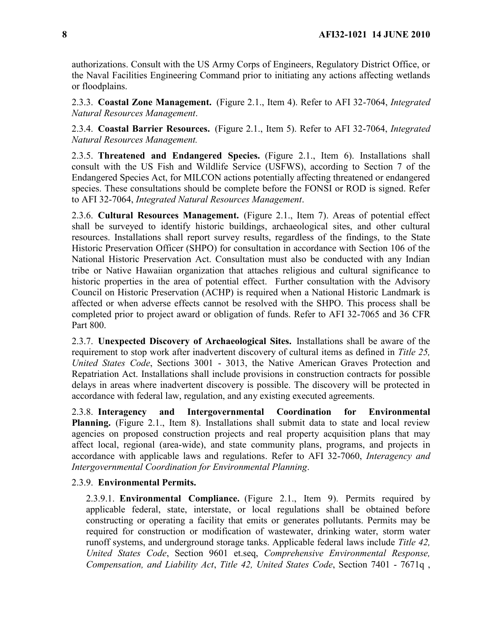authorizations. Consult with the US Army Corps of Engineers, Regulatory District Office, or the Naval Facilities Engineering Command prior to initiating any actions affecting wetlands or floodplains.

2.3.3. **Coastal Zone Management.** (Figure 2.1., Item 4). Refer to AFI 32-7064, *Integrated Natural Resources Management*.

2.3.4. **Coastal Barrier Resources.** (Figure 2.1., Item 5). Refer to AFI 32-7064, *Integrated Natural Resources Management.*

2.3.5. **Threatened and Endangered Species.** (Figure 2.1., Item 6). Installations shall consult with the US Fish and Wildlife Service (USFWS), according to Section 7 of the Endangered Species Act, for MILCON actions potentially affecting threatened or endangered species. These consultations should be complete before the FONSI or ROD is signed. Refer to AFI 32-7064, *Integrated Natural Resources Management*.

2.3.6. **Cultural Resources Management.** (Figure 2.1., Item 7). Areas of potential effect shall be surveyed to identify historic buildings, archaeological sites, and other cultural resources. Installations shall report survey results, regardless of the findings, to the State Historic Preservation Officer (SHPO) for consultation in accordance with Section 106 of the National Historic Preservation Act. Consultation must also be conducted with any Indian tribe or Native Hawaiian organization that attaches religious and cultural significance to historic properties in the area of potential effect. Further consultation with the Advisory Council on Historic Preservation (ACHP) is required when a National Historic Landmark is affected or when adverse effects cannot be resolved with the SHPO. This process shall be completed prior to project award or obligation of funds. Refer to AFI 32-7065 and 36 CFR Part 800.

2.3.7. **Unexpected Discovery of Archaeological Sites.** Installations shall be aware of the requirement to stop work after inadvertent discovery of cultural items as defined in *Title 25, United States Code*, Sections 3001 - 3013, the Native American Graves Protection and Repatriation Act. Installations shall include provisions in construction contracts for possible delays in areas where inadvertent discovery is possible. The discovery will be protected in accordance with federal law, regulation, and any existing executed agreements.

2.3.8. **Interagency and Intergovernmental Coordination for Environmental Planning.** (Figure 2.1., Item 8). Installations shall submit data to state and local review agencies on proposed construction projects and real property acquisition plans that may affect local, regional (area-wide), and state community plans, programs, and projects in accordance with applicable laws and regulations. Refer to AFI 32-7060, *Interagency and Intergovernmental Coordination for Environmental Planning*.

## 2.3.9. **Environmental Permits.**

2.3.9.1. **Environmental Compliance.** (Figure 2.1., Item 9). Permits required by applicable federal, state, interstate, or local regulations shall be obtained before constructing or operating a facility that emits or generates pollutants. Permits may be required for construction or modification of wastewater, drinking water, storm water runoff systems, and underground storage tanks. Applicable federal laws include *Title 42, United States Code*, Section 9601 et.seq, *Comprehensive Environmental Response, Compensation, and Liability Act*, *Title 42, United States Code*, Section 7401 - 7671q ,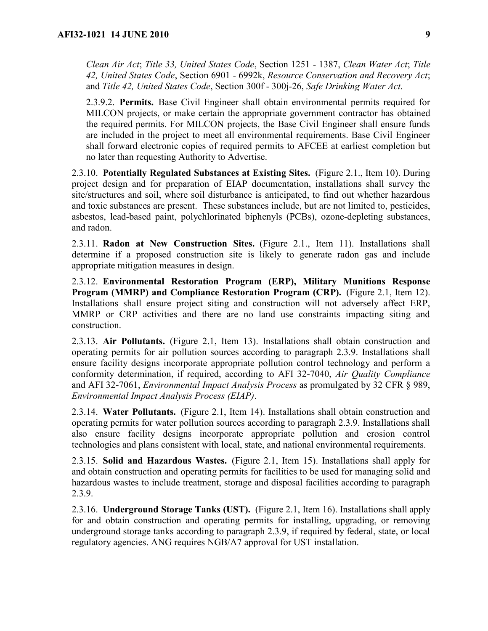*Clean Air Act*; *Title 33, United States Code*, Section 1251 - 1387, *Clean Water Act*; *Title 42, United States Code*, Section 6901 - 6992k, *Resource Conservation and Recovery Act*; and *Title 42, United States Code*, Section 300f - 300j-26, *Safe Drinking Water Act*.

2.3.9.2. **Permits.** Base Civil Engineer shall obtain environmental permits required for MILCON projects, or make certain the appropriate government contractor has obtained the required permits. For MILCON projects, the Base Civil Engineer shall ensure funds are included in the project to meet all environmental requirements. Base Civil Engineer shall forward electronic copies of required permits to AFCEE at earliest completion but no later than requesting Authority to Advertise.

2.3.10. **Potentially Regulated Substances at Existing Sites.** (Figure 2.1., Item 10). During project design and for preparation of EIAP documentation, installations shall survey the site/structures and soil, where soil disturbance is anticipated, to find out whether hazardous and toxic substances are present. These substances include, but are not limited to, pesticides, asbestos, lead-based paint, polychlorinated biphenyls (PCBs), ozone-depleting substances, and radon.

2.3.11. **Radon at New Construction Sites.** (Figure 2.1., Item 11). Installations shall determine if a proposed construction site is likely to generate radon gas and include appropriate mitigation measures in design.

2.3.12. **Environmental Restoration Program (ERP), Military Munitions Response Program (MMRP) and Compliance Restoration Program (CRP).** (Figure 2.1, Item 12). Installations shall ensure project siting and construction will not adversely affect ERP, MMRP or CRP activities and there are no land use constraints impacting siting and construction.

2.3.13. **Air Pollutants.** (Figure 2.1, Item 13). Installations shall obtain construction and operating permits for air pollution sources according to paragraph 2.3.9. Installations shall ensure facility designs incorporate appropriate pollution control technology and perform a conformity determination, if required, according to AFI 32-7040, *Air Quality Compliance* and AFI 32-7061, *Environmental Impact Analysis Process* as promulgated by 32 CFR § 989, *Environmental Impact Analysis Process (EIAP)*.

2.3.14. **Water Pollutants.** (Figure 2.1, Item 14). Installations shall obtain construction and operating permits for water pollution sources according to paragraph 2.3.9. Installations shall also ensure facility designs incorporate appropriate pollution and erosion control technologies and plans consistent with local, state, and national environmental requirements.

2.3.15. **Solid and Hazardous Wastes.** (Figure 2.1, Item 15). Installations shall apply for and obtain construction and operating permits for facilities to be used for managing solid and hazardous wastes to include treatment, storage and disposal facilities according to paragraph 2.3.9.

2.3.16. **Underground Storage Tanks (UST).** (Figure 2.1, Item 16). Installations shall apply for and obtain construction and operating permits for installing, upgrading, or removing underground storage tanks according to paragraph 2.3.9, if required by federal, state, or local regulatory agencies. ANG requires NGB/A7 approval for UST installation.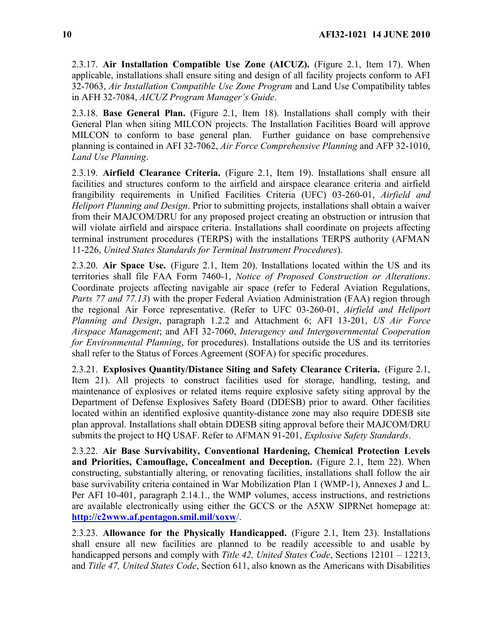2.3.17. **Air Installation Compatible Use Zone (AICUZ).** (Figure 2.1, Item 17). When applicable, installations shall ensure siting and design of all facility projects conform to AFI 32-7063, *Air Installation Compatible Use Zone Program* and Land Use Compatibility tables in AFH 32-7084, *AICUZ Program Manager's Guide*.

2.3.18. **Base General Plan.** (Figure 2.1, Item 18). Installations shall comply with their General Plan when siting MILCON projects. The Installation Facilities Board will approve MILCON to conform to base general plan. Further guidance on base comprehensive planning is contained in AFI 32-7062, *Air Force Comprehensive Planning* and AFP 32-1010, *Land Use Planning*.

2.3.19. **Airfield Clearance Criteria.** (Figure 2.1, Item 19). Installations shall ensure all facilities and structures conform to the airfield and airspace clearance criteria and airfield frangibility requirements in Unified Facilities Criteria (UFC) 03-260-01, *Airfield and Heliport Planning and Design*. Prior to submitting projects, installations shall obtain a waiver from their MAJCOM/DRU for any proposed project creating an obstruction or intrusion that will violate airfield and airspace criteria. Installations shall coordinate on projects affecting terminal instrument procedures (TERPS) with the installations TERPS authority (AFMAN 11-226, *United States Standards for Terminal Instrument Procedures*).

2.3.20. **Air Space Use.** (Figure 2.1, Item 20). Installations located within the US and its territories shall file FAA Form 7460-1, *Notice of Proposed Construction or Alterations*. Coordinate projects affecting navigable air space (refer to Federal Aviation Regulations, *Parts 77 and 77.13*) with the proper Federal Aviation Administration (FAA) region through the regional Air Force representative. (Refer to UFC 03-260-01, *Airfield and Heliport Planning and Design*, paragraph 1.2.2 and Attachment 6; AFI 13-201, *US Air Force Airspace Management*; and AFI 32-7060, *Interagency and Intergovernmental Cooperation for Environmental Planning*, for procedures). Installations outside the US and its territories shall refer to the Status of Forces Agreement (SOFA) for specific procedures.

2.3.21. **Explosives Quantity/Distance Siting and Safety Clearance Criteria.** (Figure 2.1, Item 21). All projects to construct facilities used for storage, handling, testing, and maintenance of explosives or related items require explosive safety siting approval by the Department of Defense Explosives Safety Board (DDESB) prior to award. Other facilities located within an identified explosive quantity-distance zone may also require DDESB site plan approval. Installations shall obtain DDESB siting approval before their MAJCOM/DRU submits the project to HQ USAF. Refer to AFMAN 91-201, *Explosive Safety Standards*.

2.3.22. **Air Base Survivability, Conventional Hardening, Chemical Protection Levels and Priorities, Camouflage, Concealment and Deception.** (Figure 2.1, Item 22). When constructing, substantially altering, or renovating facilities, installations shall follow the air base survivability criteria contained in War Mobilization Plan 1 (WMP-1), Annexes J and L. Per AFI 10-401, paragraph 2.14.1., the WMP volumes, access instructions, and restrictions are available electronically using either the GCCS or the A5XW SIPRNet homepage at: **<http://c2www.af.pentagon.smil.mil/xoxw>**/.

2.3.23. **Allowance for the Physically Handicapped.** (Figure 2.1, Item 23). Installations shall ensure all new facilities are planned to be readily accessible to and usable by handicapped persons and comply with *Title 42, United States Code*, Sections 12101 – 12213, and *Title 47, United States Code*, Section 611, also known as the Americans with Disabilities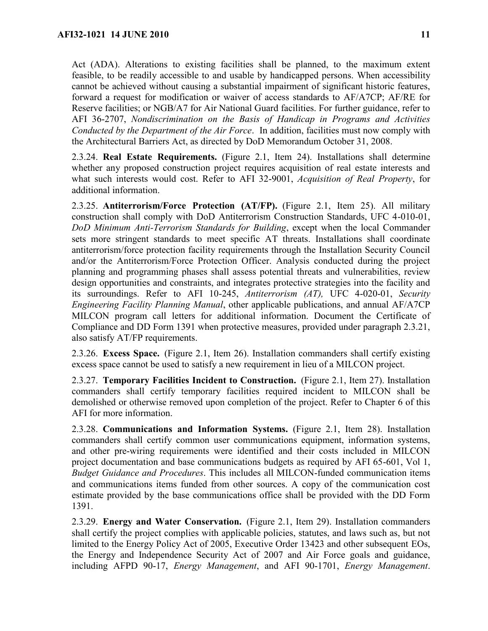Act (ADA). Alterations to existing facilities shall be planned, to the maximum extent feasible, to be readily accessible to and usable by handicapped persons. When accessibility cannot be achieved without causing a substantial impairment of significant historic features, forward a request for modification or waiver of access standards to AF/A7CP; AF/RE for Reserve facilities; or NGB/A7 for Air National Guard facilities. For further guidance, refer to AFI 36-2707, *Nondiscrimination on the Basis of Handicap in Programs and Activities Conducted by the Department of the Air Force*. In addition, facilities must now comply with the Architectural Barriers Act, as directed by DoD Memorandum October 31, 2008.

2.3.24. **Real Estate Requirements.** (Figure 2.1, Item 24). Installations shall determine whether any proposed construction project requires acquisition of real estate interests and what such interests would cost. Refer to AFI 32-9001, *Acquisition of Real Property*, for additional information.

2.3.25. **Antiterrorism/Force Protection (AT/FP).** (Figure 2.1, Item 25). All military construction shall comply with DoD Antiterrorism Construction Standards, UFC 4-010-01, *DoD Minimum Anti-Terrorism Standards for Building*, except when the local Commander sets more stringent standards to meet specific AT threats. Installations shall coordinate antiterrorism/force protection facility requirements through the Installation Security Council and/or the Antiterrorism/Force Protection Officer. Analysis conducted during the project planning and programming phases shall assess potential threats and vulnerabilities, review design opportunities and constraints, and integrates protective strategies into the facility and its surroundings. Refer to AFI 10-245, *Antiterrorism (AT),* UFC 4-020-01, *Security Engineering Facility Planning Manual*, other applicable publications, and annual AF/A7CP MILCON program call letters for additional information. Document the Certificate of Compliance and DD Form 1391 when protective measures, provided under paragraph 2.3.21, also satisfy AT/FP requirements.

2.3.26. **Excess Space.** (Figure 2.1, Item 26). Installation commanders shall certify existing excess space cannot be used to satisfy a new requirement in lieu of a MILCON project.

2.3.27. **Temporary Facilities Incident to Construction.** (Figure 2.1, Item 27). Installation commanders shall certify temporary facilities required incident to MILCON shall be demolished or otherwise removed upon completion of the project. Refer to Chapter 6 of this AFI for more information.

2.3.28. **Communications and Information Systems.** (Figure 2.1, Item 28). Installation commanders shall certify common user communications equipment, information systems, and other pre-wiring requirements were identified and their costs included in MILCON project documentation and base communications budgets as required by AFI 65-601, Vol 1, *Budget Guidance and Procedures*. This includes all MILCON-funded communication items and communications items funded from other sources. A copy of the communication cost estimate provided by the base communications office shall be provided with the DD Form 1391.

2.3.29. **Energy and Water Conservation.** (Figure 2.1, Item 29). Installation commanders shall certify the project complies with applicable policies, statutes, and laws such as, but not limited to the Energy Policy Act of 2005, Executive Order 13423 and other subsequent EOs, the Energy and Independence Security Act of 2007 and Air Force goals and guidance, including AFPD 90-17, *Energy Management*, and AFI 90-1701, *Energy Management*.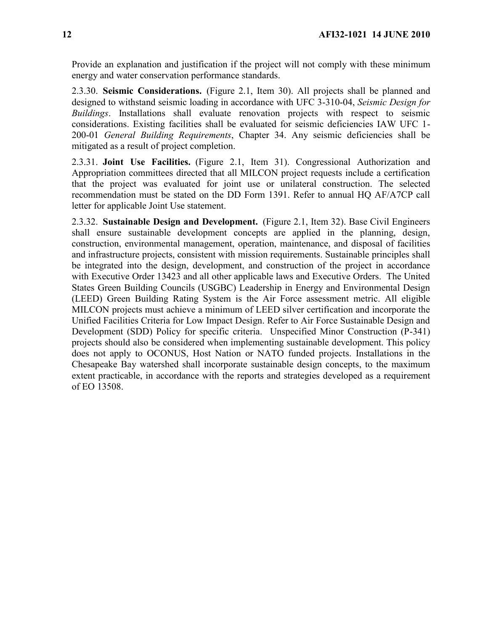Provide an explanation and justification if the project will not comply with these minimum energy and water conservation performance standards.

2.3.30. **Seismic Considerations.** (Figure 2.1, Item 30). All projects shall be planned and designed to withstand seismic loading in accordance with UFC 3-310-04, *Seismic Design for Buildings*. Installations shall evaluate renovation projects with respect to seismic considerations. Existing facilities shall be evaluated for seismic deficiencies IAW UFC 1- 200-01 *General Building Requirements*, Chapter 34. Any seismic deficiencies shall be mitigated as a result of project completion.

2.3.31. **Joint Use Facilities.** (Figure 2.1, Item 31). Congressional Authorization and Appropriation committees directed that all MILCON project requests include a certification that the project was evaluated for joint use or unilateral construction. The selected recommendation must be stated on the DD Form 1391. Refer to annual HQ AF/A7CP call letter for applicable Joint Use statement.

2.3.32. **Sustainable Design and Development.** (Figure 2.1, Item 32). Base Civil Engineers shall ensure sustainable development concepts are applied in the planning, design, construction, environmental management, operation, maintenance, and disposal of facilities and infrastructure projects, consistent with mission requirements. Sustainable principles shall be integrated into the design, development, and construction of the project in accordance with Executive Order 13423 and all other applicable laws and Executive Orders. The United States Green Building Councils (USGBC) Leadership in Energy and Environmental Design (LEED) Green Building Rating System is the Air Force assessment metric. All eligible MILCON projects must achieve a minimum of LEED silver certification and incorporate the Unified Facilities Criteria for Low Impact Design. Refer to Air Force Sustainable Design and Development (SDD) Policy for specific criteria. Unspecified Minor Construction (P-341) projects should also be considered when implementing sustainable development. This policy does not apply to OCONUS, Host Nation or NATO funded projects. Installations in the Chesapeake Bay watershed shall incorporate sustainable design concepts, to the maximum extent practicable, in accordance with the reports and strategies developed as a requirement of EO 13508.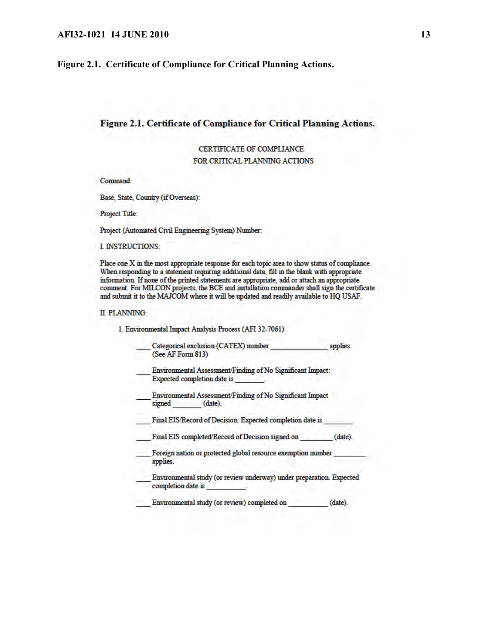<span id="page-12-0"></span>**Figure 2.1. Certificate of Compliance for Critical Planning Actions.** 

#### Figure 2.1. Certificate of Compliance for Critical Planning Actions.

CERTIFICATE OF COMPLIANCE FOR CRITICAL PLANNING ACTIONS

Command:

Base, State, Country (if Overseas):

**Project Title:** 

Project (Automated Civil Engineering System) Number:

I. INSTRUCTIONS:

Place one X in the most appropriate response for each topic area to show status of compliance. When responding to a statement requiring additional data, fill in the blank with appropriate information. If none of the printed statements are appropriate, add or attach an appropriate comment. For MILCON projects, the BCE and installation commander shall sign the certificate and submit it to the MAJCOM where it will be updated and readily available to HQ USAF.

#### **II. PLANNING:**

1. Environmental Impact Analysis Process (AFI 32-7061)

Categorical exclusion (CATEX) number applies. (See AF Form 813)

Environmental Assessment/Finding of No Significant Impact: **Expected completion date is** 

Environmental Assessment/Finding of No Significant Impact signed (date).

Final EIS/Record of Decision: Expected completion date is

Final EIS completed/Record of Decision signed on (date).

Foreign nation or protected global resource exemption number applies.

Environmental study (or review underway) under preparation. Expected completion date is

Environmental study (or review) completed on (date).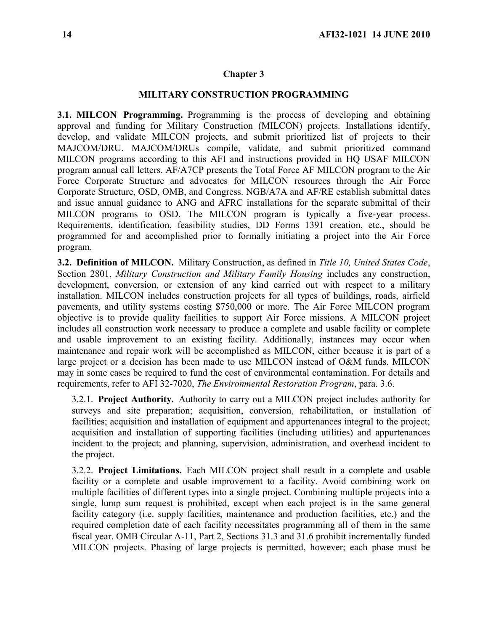## <span id="page-13-0"></span>**Chapter 3**

#### **MILITARY CONSTRUCTION PROGRAMMING**

<span id="page-13-1"></span>**3.1. MILCON Programming.** Programming is the process of developing and obtaining approval and funding for Military Construction (MILCON) projects. Installations identify, develop, and validate MILCON projects, and submit prioritized list of projects to their MAJCOM/DRU. MAJCOM/DRUs compile, validate, and submit prioritized command MILCON programs according to this AFI and instructions provided in HQ USAF MILCON program annual call letters. AF/A7CP presents the Total Force AF MILCON program to the Air Force Corporate Structure and advocates for MILCON resources through the Air Force Corporate Structure, OSD, OMB, and Congress. NGB/A7A and AF/RE establish submittal dates and issue annual guidance to ANG and AFRC installations for the separate submittal of their MILCON programs to OSD. The MILCON program is typically a five-year process. Requirements, identification, feasibility studies, DD Forms 1391 creation, etc., should be programmed for and accomplished prior to formally initiating a project into the Air Force program.

<span id="page-13-2"></span>**3.2. Definition of MILCON.** Military Construction, as defined in *Title 10, United States Code*, Section 2801, *Military Construction and Military Family Housing* includes any construction, development, conversion, or extension of any kind carried out with respect to a military installation. MILCON includes construction projects for all types of buildings, roads, airfield pavements, and utility systems costing \$750,000 or more. The Air Force MILCON program objective is to provide quality facilities to support Air Force missions. A MILCON project includes all construction work necessary to produce a complete and usable facility or complete and usable improvement to an existing facility. Additionally, instances may occur when maintenance and repair work will be accomplished as MILCON, either because it is part of a large project or a decision has been made to use MILCON instead of O&M funds. MILCON may in some cases be required to fund the cost of environmental contamination. For details and requirements, refer to AFI 32-7020, *The Environmental Restoration Program*, para. 3.6.

3.2.1. **Project Authority.** Authority to carry out a MILCON project includes authority for surveys and site preparation; acquisition, conversion, rehabilitation, or installation of facilities; acquisition and installation of equipment and appurtenances integral to the project; acquisition and installation of supporting facilities (including utilities) and appurtenances incident to the project; and planning, supervision, administration, and overhead incident to the project.

3.2.2. **Project Limitations.** Each MILCON project shall result in a complete and usable facility or a complete and usable improvement to a facility. Avoid combining work on multiple facilities of different types into a single project. Combining multiple projects into a single, lump sum request is prohibited, except when each project is in the same general facility category (i.e. supply facilities, maintenance and production facilities, etc.) and the required completion date of each facility necessitates programming all of them in the same fiscal year. OMB Circular A-11, Part 2, Sections 31.3 and 31.6 prohibit incrementally funded MILCON projects. Phasing of large projects is permitted, however; each phase must be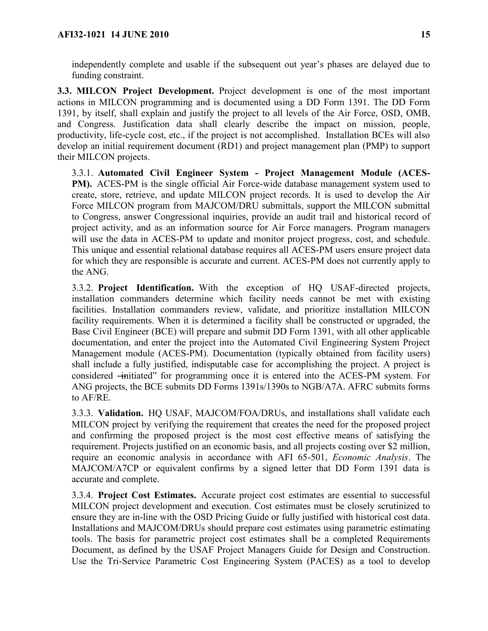independently complete and usable if the subsequent out year's phases are delayed due to funding constraint.

<span id="page-14-0"></span>**3.3. MILCON Project Development.** Project development is one of the most important actions in MILCON programming and is documented using a DD Form 1391. The DD Form 1391, by itself, shall explain and justify the project to all levels of the Air Force, OSD, OMB, and Congress. Justification data shall clearly describe the impact on mission, people, productivity, life-cycle cost, etc., if the project is not accomplished. Installation BCEs will also develop an initial requirement document (RD1) and project management plan (PMP) to support their MILCON projects.

3.3.1. **Automated Civil Engineer System - Project Management Module (ACES-PM).** ACES-PM is the single official Air Force-wide database management system used to create, store, retrieve, and update MILCON project records. It is used to develop the Air Force MILCON program from MAJCOM/DRU submittals, support the MILCON submittal to Congress, answer Congressional inquiries, provide an audit trail and historical record of project activity, and as an information source for Air Force managers. Program managers will use the data in ACES-PM to update and monitor project progress, cost, and schedule. This unique and essential relational database requires all ACES-PM users ensure project data for which they are responsible is accurate and current. ACES-PM does not currently apply to the ANG.

3.3.2. **Project Identification.** With the exception of HQ USAF-directed projects, installation commanders determine which facility needs cannot be met with existing facilities. Installation commanders review, validate, and prioritize installation MILCON facility requirements. When it is determined a facility shall be constructed or upgraded, the Base Civil Engineer (BCE) will prepare and submit DD Form 1391, with all other applicable documentation, and enter the project into the Automated Civil Engineering System Project Management module (ACES-PM). Documentation (typically obtained from facility users) shall include a fully justified, indisputable case for accomplishing the project. A project is considered —initiated" for programming once it is entered into the ACES-PM system. For ANG projects, the BCE submits DD Forms 1391s/1390s to NGB/A7A. AFRC submits forms to AF/RE.

3.3.3. **Validation.** HQ USAF, MAJCOM/FOA/DRUs, and installations shall validate each MILCON project by verifying the requirement that creates the need for the proposed project and confirming the proposed project is the most cost effective means of satisfying the requirement. Projects justified on an economic basis, and all projects costing over \$2 million, require an economic analysis in accordance with AFI 65-501, *Economic Analysis*. The MAJCOM/A7CP or equivalent confirms by a signed letter that DD Form 1391 data is accurate and complete.

3.3.4. **Project Cost Estimates.** Accurate project cost estimates are essential to successful MILCON project development and execution. Cost estimates must be closely scrutinized to ensure they are in-line with the OSD Pricing Guide or fully justified with historical cost data. Installations and MAJCOM/DRUs should prepare cost estimates using parametric estimating tools. The basis for parametric project cost estimates shall be a completed Requirements Document, as defined by the USAF Project Managers Guide for Design and Construction. Use the Tri-Service Parametric Cost Engineering System (PACES) as a tool to develop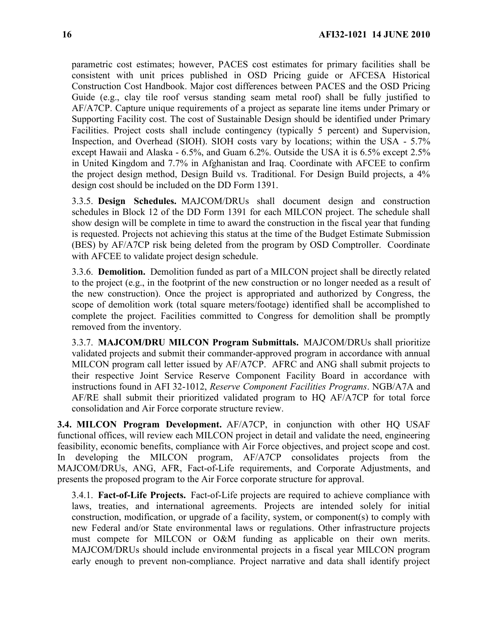parametric cost estimates; however, PACES cost estimates for primary facilities shall be consistent with unit prices published in OSD Pricing guide or AFCESA Historical Construction Cost Handbook. Major cost differences between PACES and the OSD Pricing Guide (e.g., clay tile roof versus standing seam metal roof) shall be fully justified to AF/A7CP. Capture unique requirements of a project as separate line items under Primary or Supporting Facility cost. The cost of Sustainable Design should be identified under Primary Facilities. Project costs shall include contingency (typically 5 percent) and Supervision, Inspection, and Overhead (SIOH). SIOH costs vary by locations; within the USA - 5.7% except Hawaii and Alaska - 6.5%, and Guam 6.2%. Outside the USA it is 6.5% except 2.5% in United Kingdom and 7.7% in Afghanistan and Iraq. Coordinate with AFCEE to confirm the project design method, Design Build vs. Traditional. For Design Build projects, a 4% design cost should be included on the DD Form 1391.

3.3.5. **Design Schedules.** MAJCOM/DRUs shall document design and construction schedules in Block 12 of the DD Form 1391 for each MILCON project. The schedule shall show design will be complete in time to award the construction in the fiscal year that funding is requested. Projects not achieving this status at the time of the Budget Estimate Submission (BES) by AF/A7CP risk being deleted from the program by OSD Comptroller. Coordinate with AFCEE to validate project design schedule.

3.3.6. **Demolition.** Demolition funded as part of a MILCON project shall be directly related to the project (e.g., in the footprint of the new construction or no longer needed as a result of the new construction). Once the project is appropriated and authorized by Congress, the scope of demolition work (total square meters/footage) identified shall be accomplished to complete the project. Facilities committed to Congress for demolition shall be promptly removed from the inventory.

3.3.7. **MAJCOM/DRU MILCON Program Submittals.** MAJCOM/DRUs shall prioritize validated projects and submit their commander-approved program in accordance with annual MILCON program call letter issued by AF/A7CP. AFRC and ANG shall submit projects to their respective Joint Service Reserve Component Facility Board in accordance with instructions found in AFI 32-1012, *Reserve Component Facilities Programs*. NGB/A7A and AF/RE shall submit their prioritized validated program to HQ AF/A7CP for total force consolidation and Air Force corporate structure review.

<span id="page-15-0"></span>**3.4. MILCON Program Development.** AF/A7CP, in conjunction with other HQ USAF functional offices, will review each MILCON project in detail and validate the need, engineering feasibility, economic benefits, compliance with Air Force objectives, and project scope and cost. In developing the MILCON program, AF/A7CP consolidates projects from the MAJCOM/DRUs, ANG, AFR, Fact-of-Life requirements, and Corporate Adjustments, and presents the proposed program to the Air Force corporate structure for approval.

3.4.1. **Fact-of-Life Projects.** Fact-of-Life projects are required to achieve compliance with laws, treaties, and international agreements. Projects are intended solely for initial construction, modification, or upgrade of a facility, system, or component(s) to comply with new Federal and/or State environmental laws or regulations. Other infrastructure projects must compete for MILCON or O&M funding as applicable on their own merits. MAJCOM/DRUs should include environmental projects in a fiscal year MILCON program early enough to prevent non-compliance. Project narrative and data shall identify project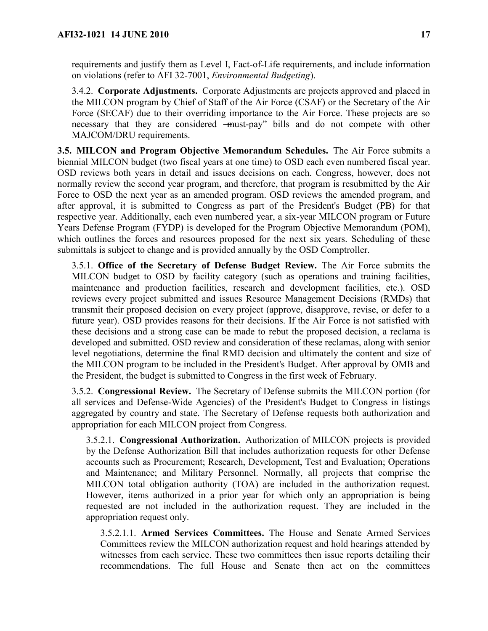requirements and justify them as Level I, Fact-of-Life requirements, and include information on violations (refer to AFI 32-7001, *Environmental Budgeting*).

3.4.2. **Corporate Adjustments.** Corporate Adjustments are projects approved and placed in the MILCON program by Chief of Staff of the Air Force (CSAF) or the Secretary of the Air Force (SECAF) due to their overriding importance to the Air Force. These projects are so necessary that they are considered —must-pay" bills and do not compete with other MAJCOM/DRU requirements.

<span id="page-16-0"></span>**3.5. MILCON and Program Objective Memorandum Schedules.** The Air Force submits a biennial MILCON budget (two fiscal years at one time) to OSD each even numbered fiscal year. OSD reviews both years in detail and issues decisions on each. Congress, however, does not normally review the second year program, and therefore, that program is resubmitted by the Air Force to OSD the next year as an amended program. OSD reviews the amended program, and after approval, it is submitted to Congress as part of the President's Budget (PB) for that respective year. Additionally, each even numbered year, a six-year MILCON program or Future Years Defense Program (FYDP) is developed for the Program Objective Memorandum (POM), which outlines the forces and resources proposed for the next six years. Scheduling of these submittals is subject to change and is provided annually by the OSD Comptroller.

3.5.1. **Office of the Secretary of Defense Budget Review.** The Air Force submits the MILCON budget to OSD by facility category (such as operations and training facilities, maintenance and production facilities, research and development facilities, etc.). OSD reviews every project submitted and issues Resource Management Decisions (RMDs) that transmit their proposed decision on every project (approve, disapprove, revise, or defer to a future year). OSD provides reasons for their decisions. If the Air Force is not satisfied with these decisions and a strong case can be made to rebut the proposed decision, a reclama is developed and submitted. OSD review and consideration of these reclamas, along with senior level negotiations, determine the final RMD decision and ultimately the content and size of the MILCON program to be included in the President's Budget. After approval by OMB and the President, the budget is submitted to Congress in the first week of February.

3.5.2. **Congressional Review.** The Secretary of Defense submits the MILCON portion (for all services and Defense-Wide Agencies) of the President's Budget to Congress in listings aggregated by country and state. The Secretary of Defense requests both authorization and appropriation for each MILCON project from Congress.

3.5.2.1. **Congressional Authorization.** Authorization of MILCON projects is provided by the Defense Authorization Bill that includes authorization requests for other Defense accounts such as Procurement; Research, Development, Test and Evaluation; Operations and Maintenance; and Military Personnel. Normally, all projects that comprise the MILCON total obligation authority (TOA) are included in the authorization request. However, items authorized in a prior year for which only an appropriation is being requested are not included in the authorization request. They are included in the appropriation request only.

3.5.2.1.1. **Armed Services Committees.** The House and Senate Armed Services Committees review the MILCON authorization request and hold hearings attended by witnesses from each service. These two committees then issue reports detailing their recommendations. The full House and Senate then act on the committees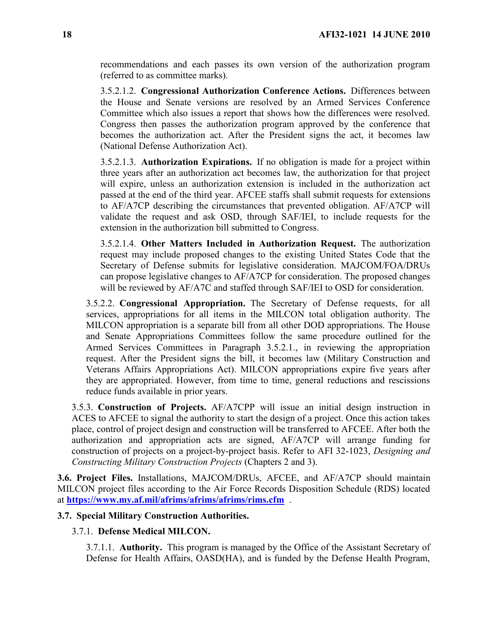recommendations and each passes its own version of the authorization program (referred to as committee marks).

3.5.2.1.2. **Congressional Authorization Conference Actions.** Differences between the House and Senate versions are resolved by an Armed Services Conference Committee which also issues a report that shows how the differences were resolved. Congress then passes the authorization program approved by the conference that becomes the authorization act. After the President signs the act, it becomes law (National Defense Authorization Act).

3.5.2.1.3. **Authorization Expirations.** If no obligation is made for a project within three years after an authorization act becomes law, the authorization for that project will expire, unless an authorization extension is included in the authorization act passed at the end of the third year. AFCEE staffs shall submit requests for extensions to AF/A7CP describing the circumstances that prevented obligation. AF/A7CP will validate the request and ask OSD, through SAF/IEI, to include requests for the extension in the authorization bill submitted to Congress.

3.5.2.1.4. **Other Matters Included in Authorization Request.** The authorization request may include proposed changes to the existing United States Code that the Secretary of Defense submits for legislative consideration. MAJCOM/FOA/DRUs can propose legislative changes to AF/A7CP for consideration. The proposed changes will be reviewed by AF/A7C and staffed through SAF/IEI to OSD for consideration.

3.5.2.2. **Congressional Appropriation.** The Secretary of Defense requests, for all services, appropriations for all items in the MILCON total obligation authority. The MILCON appropriation is a separate bill from all other DOD appropriations. The House and Senate Appropriations Committees follow the same procedure outlined for the Armed Services Committees in Paragraph 3.5.2.1., in reviewing the appropriation request. After the President signs the bill, it becomes law (Military Construction and Veterans Affairs Appropriations Act). MILCON appropriations expire five years after they are appropriated. However, from time to time, general reductions and rescissions reduce funds available in prior years.

3.5.3. **Construction of Projects.** AF/A7CPP will issue an initial design instruction in ACES to AFCEE to signal the authority to start the design of a project. Once this action takes place, control of project design and construction will be transferred to AFCEE. After both the authorization and appropriation acts are signed, AF/A7CP will arrange funding for construction of projects on a project-by-project basis. Refer to AFI 32-1023, *Designing and Constructing Military Construction Projects* (Chapters 2 and 3).

<span id="page-17-0"></span>**3.6. Project Files.** Installations, MAJCOM/DRUs, AFCEE, and AF/A7CP should maintain MILCON project files according to the Air Force Records Disposition Schedule (RDS) located at **<https://www.my.af.mil/afrims/afrims/afrims/rims.cfm>** .

### <span id="page-17-1"></span>**3.7. Special Military Construction Authorities.**

### 3.7.1. **Defense Medical MILCON.**

3.7.1.1. **Authority.** This program is managed by the Office of the Assistant Secretary of Defense for Health Affairs, OASD(HA), and is funded by the Defense Health Program,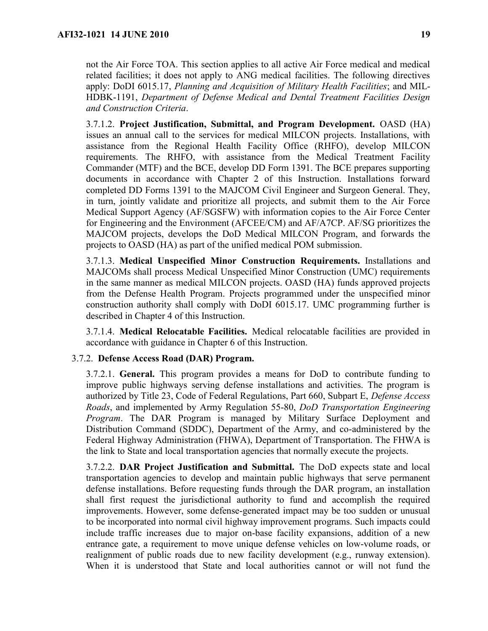not the Air Force TOA. This section applies to all active Air Force medical and medical related facilities; it does not apply to ANG medical facilities. The following directives apply: DoDI 6015.17, *Planning and Acquisition of Military Health Facilities*; and MIL-HDBK-1191, *Department of Defense Medical and Dental Treatment Facilities Design and Construction Criteria*.

3.7.1.2. **Project Justification, Submittal, and Program Development.** OASD (HA) issues an annual call to the services for medical MILCON projects. Installations, with assistance from the Regional Health Facility Office (RHFO), develop MILCON requirements. The RHFO, with assistance from the Medical Treatment Facility Commander (MTF) and the BCE, develop DD Form 1391. The BCE prepares supporting documents in accordance with Chapter 2 of this Instruction. Installations forward completed DD Forms 1391 to the MAJCOM Civil Engineer and Surgeon General. They, in turn, jointly validate and prioritize all projects, and submit them to the Air Force Medical Support Agency (AF/SGSFW) with information copies to the Air Force Center for Engineering and the Environment (AFCEE/CM) and AF/A7CP. AF/SG prioritizes the MAJCOM projects, develops the DoD Medical MILCON Program, and forwards the projects to OASD (HA) as part of the unified medical POM submission.

3.7.1.3. **Medical Unspecified Minor Construction Requirements.** Installations and MAJCOMs shall process Medical Unspecified Minor Construction (UMC) requirements in the same manner as medical MILCON projects. OASD (HA) funds approved projects from the Defense Health Program. Projects programmed under the unspecified minor construction authority shall comply with DoDI 6015.17. UMC programming further is described in Chapter 4 of this Instruction.

3.7.1.4. **Medical Relocatable Facilities.** Medical relocatable facilities are provided in accordance with guidance in Chapter 6 of this Instruction.

### 3.7.2. **Defense Access Road (DAR) Program.**

3.7.2.1. **General.** This program provides a means for DoD to contribute funding to improve public highways serving defense installations and activities. The program is authorized by Title 23, Code of Federal Regulations, Part 660, Subpart E, *Defense Access Roads*, and implemented by Army Regulation 55-80, *DoD Transportation Engineering Program*. The DAR Program is managed by Military Surface Deployment and Distribution Command (SDDC), Department of the Army, and co-administered by the Federal Highway Administration (FHWA), Department of Transportation. The FHWA is the link to State and local transportation agencies that normally execute the projects.

3.7.2.2. **DAR Project Justification and Submittal.** The DoD expects state and local transportation agencies to develop and maintain public highways that serve permanent defense installations. Before requesting funds through the DAR program, an installation shall first request the jurisdictional authority to fund and accomplish the required improvements. However, some defense-generated impact may be too sudden or unusual to be incorporated into normal civil highway improvement programs. Such impacts could include traffic increases due to major on-base facility expansions, addition of a new entrance gate, a requirement to move unique defense vehicles on low-volume roads, or realignment of public roads due to new facility development (e.g., runway extension). When it is understood that State and local authorities cannot or will not fund the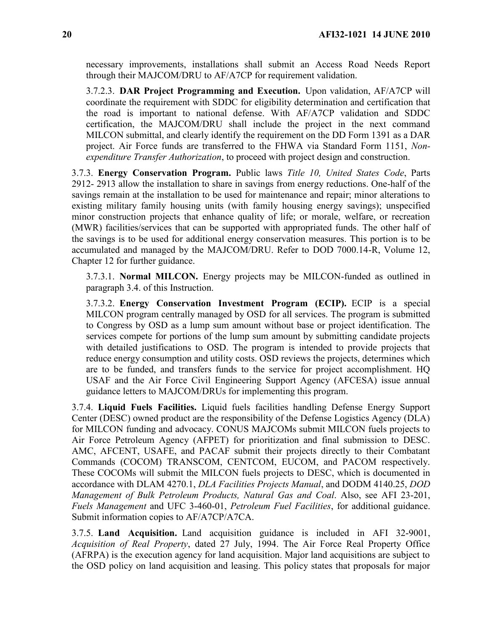necessary improvements, installations shall submit an Access Road Needs Report through their MAJCOM/DRU to AF/A7CP for requirement validation.

3.7.2.3. **DAR Project Programming and Execution.** Upon validation, AF/A7CP will coordinate the requirement with SDDC for eligibility determination and certification that the road is important to national defense. With AF/A7CP validation and SDDC certification, the MAJCOM/DRU shall include the project in the next command MILCON submittal, and clearly identify the requirement on the DD Form 1391 as a DAR project. Air Force funds are transferred to the FHWA via Standard Form 1151, *Nonexpenditure Transfer Authorization*, to proceed with project design and construction.

3.7.3. **Energy Conservation Program.** Public laws *Title 10, United States Code*, Parts 2912- 2913 allow the installation to share in savings from energy reductions. One-half of the savings remain at the installation to be used for maintenance and repair; minor alterations to existing military family housing units (with family housing energy savings); unspecified minor construction projects that enhance quality of life; or morale, welfare, or recreation (MWR) facilities/services that can be supported with appropriated funds. The other half of the savings is to be used for additional energy conservation measures. This portion is to be accumulated and managed by the MAJCOM/DRU. Refer to DOD 7000.14-R, Volume 12, Chapter 12 for further guidance.

3.7.3.1. **Normal MILCON.** Energy projects may be MILCON-funded as outlined in paragraph 3.4. of this Instruction.

3.7.3.2. **Energy Conservation Investment Program (ECIP).** ECIP is a special MILCON program centrally managed by OSD for all services. The program is submitted to Congress by OSD as a lump sum amount without base or project identification. The services compete for portions of the lump sum amount by submitting candidate projects with detailed justifications to OSD. The program is intended to provide projects that reduce energy consumption and utility costs. OSD reviews the projects, determines which are to be funded, and transfers funds to the service for project accomplishment. HQ USAF and the Air Force Civil Engineering Support Agency (AFCESA) issue annual guidance letters to MAJCOM/DRUs for implementing this program.

3.7.4. **Liquid Fuels Facilities.** Liquid fuels facilities handling Defense Energy Support Center (DESC) owned product are the responsibility of the Defense Logistics Agency (DLA) for MILCON funding and advocacy. CONUS MAJCOMs submit MILCON fuels projects to Air Force Petroleum Agency (AFPET) for prioritization and final submission to DESC. AMC, AFCENT, USAFE, and PACAF submit their projects directly to their Combatant Commands (COCOM) TRANSCOM, CENTCOM, EUCOM, and PACOM respectively. These COCOMs will submit the MILCON fuels projects to DESC, which is documented in accordance with DLAM 4270.1, *DLA Facilities Projects Manual*, and DODM 4140.25, *DOD Management of Bulk Petroleum Products, Natural Gas and Coal*. Also, see AFI 23-201, *Fuels Management* and UFC 3-460-01, *Petroleum Fuel Facilities*, for additional guidance. Submit information copies to AF/A7CP/A7CA.

3.7.5. **Land Acquisition.** Land acquisition guidance is included in AFI 32-9001, *Acquisition of Real Property*, dated 27 July, 1994. The Air Force Real Property Office (AFRPA) is the execution agency for land acquisition. Major land acquisitions are subject to the OSD policy on land acquisition and leasing. This policy states that proposals for major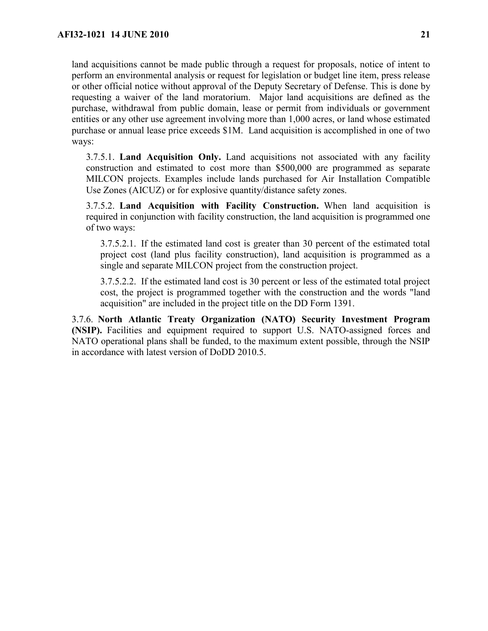land acquisitions cannot be made public through a request for proposals, notice of intent to perform an environmental analysis or request for legislation or budget line item, press release or other official notice without approval of the Deputy Secretary of Defense. This is done by requesting a waiver of the land moratorium. Major land acquisitions are defined as the purchase, withdrawal from public domain, lease or permit from individuals or government entities or any other use agreement involving more than 1,000 acres, or land whose estimated purchase or annual lease price exceeds \$1M. Land acquisition is accomplished in one of two ways:

3.7.5.1. **Land Acquisition Only.** Land acquisitions not associated with any facility construction and estimated to cost more than \$500,000 are programmed as separate MILCON projects. Examples include lands purchased for Air Installation Compatible Use Zones (AICUZ) or for explosive quantity/distance safety zones.

3.7.5.2. **Land Acquisition with Facility Construction.** When land acquisition is required in conjunction with facility construction, the land acquisition is programmed one of two ways:

3.7.5.2.1. If the estimated land cost is greater than 30 percent of the estimated total project cost (land plus facility construction), land acquisition is programmed as a single and separate MILCON project from the construction project.

3.7.5.2.2. If the estimated land cost is 30 percent or less of the estimated total project cost, the project is programmed together with the construction and the words "land acquisition" are included in the project title on the DD Form 1391.

3.7.6. **North Atlantic Treaty Organization (NATO) Security Investment Program (NSIP).** Facilities and equipment required to support U.S. NATO-assigned forces and NATO operational plans shall be funded, to the maximum extent possible, through the NSIP in accordance with latest version of DoDD 2010.5.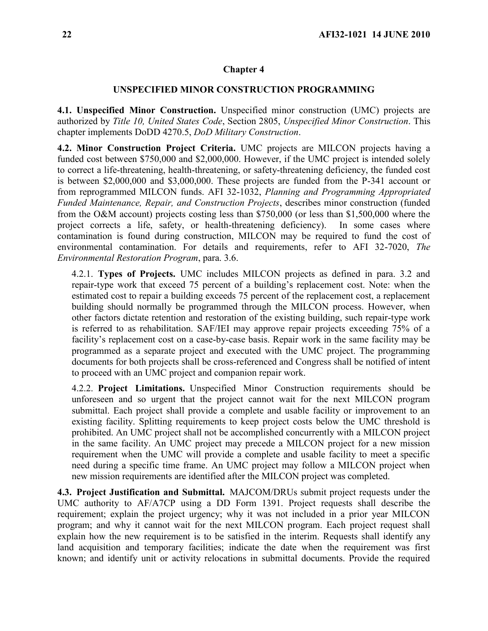### <span id="page-21-0"></span>**Chapter 4**

#### **UNSPECIFIED MINOR CONSTRUCTION PROGRAMMING**

<span id="page-21-1"></span>**4.1. Unspecified Minor Construction.** Unspecified minor construction (UMC) projects are authorized by *Title 10, United States Code*, Section 2805, *Unspecified Minor Construction*. This chapter implements DoDD 4270.5, *DoD Military Construction*.

<span id="page-21-2"></span>**4.2. Minor Construction Project Criteria.** UMC projects are MILCON projects having a funded cost between \$750,000 and \$2,000,000. However, if the UMC project is intended solely to correct a life-threatening, health-threatening, or safety-threatening deficiency, the funded cost is between \$2,000,000 and \$3,000,000. These projects are funded from the P-341 account or from reprogrammed MILCON funds. AFI 32-1032, *Planning and Programming Appropriated Funded Maintenance, Repair, and Construction Projects*, describes minor construction (funded from the O&M account) projects costing less than \$750,000 (or less than \$1,500,000 where the project corrects a life, safety, or health-threatening deficiency). In some cases where contamination is found during construction, MILCON may be required to fund the cost of environmental contamination. For details and requirements, refer to AFI 32-7020, *The Environmental Restoration Program*, para. 3.6.

4.2.1. **Types of Projects.** UMC includes MILCON projects as defined in para. 3.2 and repair-type work that exceed 75 percent of a building's replacement cost. Note: when the estimated cost to repair a building exceeds 75 percent of the replacement cost, a replacement building should normally be programmed through the MILCON process. However, when other factors dictate retention and restoration of the existing building, such repair-type work is referred to as rehabilitation. SAF/IEI may approve repair projects exceeding 75% of a facility's replacement cost on a case-by-case basis. Repair work in the same facility may be programmed as a separate project and executed with the UMC project. The programming documents for both projects shall be cross-referenced and Congress shall be notified of intent to proceed with an UMC project and companion repair work.

4.2.2. **Project Limitations.** Unspecified Minor Construction requirements should be unforeseen and so urgent that the project cannot wait for the next MILCON program submittal. Each project shall provide a complete and usable facility or improvement to an existing facility. Splitting requirements to keep project costs below the UMC threshold is prohibited. An UMC project shall not be accomplished concurrently with a MILCON project in the same facility. An UMC project may precede a MILCON project for a new mission requirement when the UMC will provide a complete and usable facility to meet a specific need during a specific time frame. An UMC project may follow a MILCON project when new mission requirements are identified after the MILCON project was completed.

<span id="page-21-3"></span>**4.3. Project Justification and Submittal.** MAJCOM/DRUs submit project requests under the UMC authority to AF/A7CP using a DD Form 1391. Project requests shall describe the requirement; explain the project urgency; why it was not included in a prior year MILCON program; and why it cannot wait for the next MILCON program. Each project request shall explain how the new requirement is to be satisfied in the interim. Requests shall identify any land acquisition and temporary facilities; indicate the date when the requirement was first known; and identify unit or activity relocations in submittal documents. Provide the required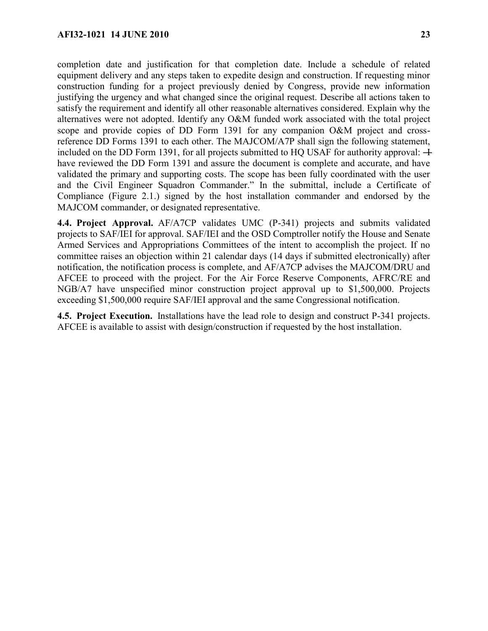completion date and justification for that completion date. Include a schedule of related equipment delivery and any steps taken to expedite design and construction. If requesting minor construction funding for a project previously denied by Congress, provide new information justifying the urgency and what changed since the original request. Describe all actions taken to satisfy the requirement and identify all other reasonable alternatives considered. Explain why the alternatives were not adopted. Identify any O&M funded work associated with the total project scope and provide copies of DD Form 1391 for any companion O&M project and crossreference DD Forms 1391 to each other. The MAJCOM/A7P shall sign the following statement, included on the DD Form 1391, for all projects submitted to HQ USAF for authority approval:  $\pm$ have reviewed the DD Form 1391 and assure the document is complete and accurate, and have validated the primary and supporting costs. The scope has been fully coordinated with the user and the Civil Engineer Squadron Commander." In the submittal, include a Certificate of Compliance (Figure 2.1.) signed by the host installation commander and endorsed by the MAJCOM commander, or designated representative.

<span id="page-22-0"></span>**4.4. Project Approval.** AF/A7CP validates UMC (P-341) projects and submits validated projects to SAF/IEI for approval. SAF/IEI and the OSD Comptroller notify the House and Senate Armed Services and Appropriations Committees of the intent to accomplish the project. If no committee raises an objection within 21 calendar days (14 days if submitted electronically) after notification, the notification process is complete, and AF/A7CP advises the MAJCOM/DRU and AFCEE to proceed with the project. For the Air Force Reserve Components, AFRC/RE and NGB/A7 have unspecified minor construction project approval up to \$1,500,000. Projects exceeding \$1,500,000 require SAF/IEI approval and the same Congressional notification.

<span id="page-22-1"></span>**4.5. Project Execution.** Installations have the lead role to design and construct P-341 projects. AFCEE is available to assist with design/construction if requested by the host installation.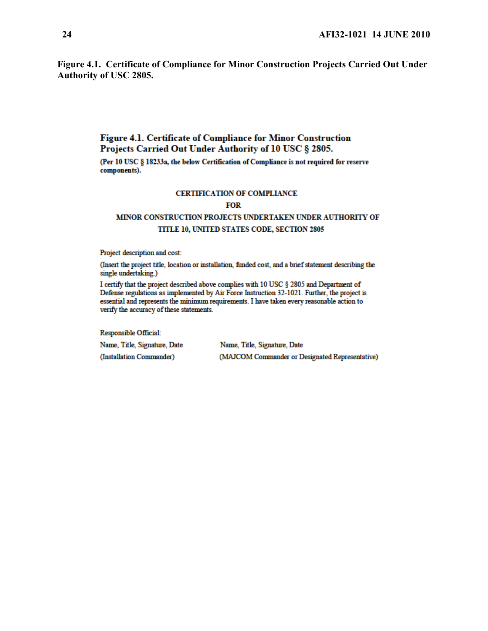<span id="page-23-0"></span>**Figure 4.1. Certificate of Compliance for Minor Construction Projects Carried Out Under Authority of USC 2805.** 

## Figure 4.1. Certificate of Compliance for Minor Construction Projects Carried Out Under Authority of 10 USC § 2805.

(Per 10 USC § 18233a, the below Certification of Compliance is not required for reserve components).

#### **CERTIFICATION OF COMPLIANCE**

#### **FOR**

# MINOR CONSTRUCTION PROJECTS UNDERTAKEN UNDER AUTHORITY OF TITLE 10, UNITED STATES CODE, SECTION 2805

Project description and cost:

(Insert the project title, location or installation, funded cost, and a brief statement describing the single undertaking.)

I certify that the project described above complies with 10 USC § 2805 and Department of Defense regulations as implemented by Air Force Instruction 32-1021. Further, the project is essential and represents the minimum requirements. I have taken every reasonable action to verify the accuracy of these statements.

Responsible Official:

Name, Title, Signature, Date (Installation Commander)

Name, Title, Signature, Date (MAJCOM Commander or Designated Representative)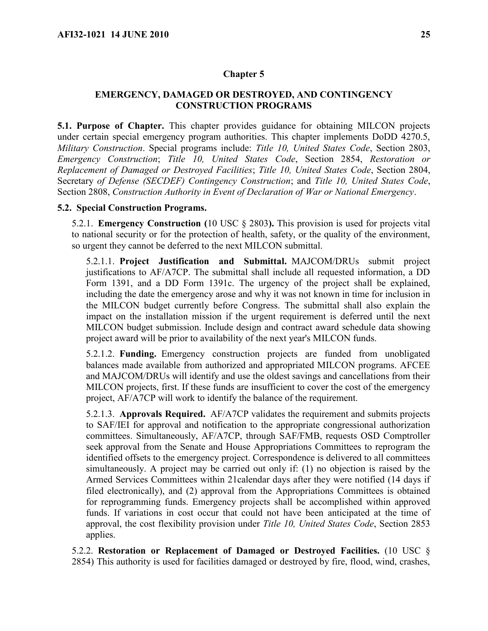#### <span id="page-24-0"></span>**Chapter 5**

## **EMERGENCY, DAMAGED OR DESTROYED, AND CONTINGENCY CONSTRUCTION PROGRAMS**

<span id="page-24-1"></span>**5.1. Purpose of Chapter.** This chapter provides guidance for obtaining MILCON projects under certain special emergency program authorities. This chapter implements DoDD 4270.5, *Military Construction*. Special programs include: *Title 10, United States Code*, Section 2803, *Emergency Construction*; *Title 10, United States Code*, Section 2854, *Restoration or Replacement of Damaged or Destroyed Facilities*; *Title 10, United States Code*, Section 2804, Secretary *of Defense (SECDEF) Contingency Construction*; and *Title 10, United States Code*, Section 2808, *Construction Authority in Event of Declaration of War or National Emergency*.

## <span id="page-24-2"></span>**5.2. Special Construction Programs.**

5.2.1. **Emergency Construction (**10 USC § 2803**).** This provision is used for projects vital to national security or for the protection of health, safety, or the quality of the environment, so urgent they cannot be deferred to the next MILCON submittal.

5.2.1.1. **Project Justification and Submittal.** MAJCOM/DRUs submit project justifications to AF/A7CP. The submittal shall include all requested information, a DD Form 1391, and a DD Form 1391c. The urgency of the project shall be explained, including the date the emergency arose and why it was not known in time for inclusion in the MILCON budget currently before Congress. The submittal shall also explain the impact on the installation mission if the urgent requirement is deferred until the next MILCON budget submission. Include design and contract award schedule data showing project award will be prior to availability of the next year's MILCON funds.

5.2.1.2. **Funding.** Emergency construction projects are funded from unobligated balances made available from authorized and appropriated MILCON programs. AFCEE and MAJCOM/DRUs will identify and use the oldest savings and cancellations from their MILCON projects, first. If these funds are insufficient to cover the cost of the emergency project, AF/A7CP will work to identify the balance of the requirement.

5.2.1.3. **Approvals Required.** AF/A7CP validates the requirement and submits projects to SAF/IEI for approval and notification to the appropriate congressional authorization committees. Simultaneously, AF/A7CP, through SAF/FMB, requests OSD Comptroller seek approval from the Senate and House Appropriations Committees to reprogram the identified offsets to the emergency project. Correspondence is delivered to all committees simultaneously. A project may be carried out only if: (1) no objection is raised by the Armed Services Committees within 21calendar days after they were notified (14 days if filed electronically), and (2) approval from the Appropriations Committees is obtained for reprogramming funds. Emergency projects shall be accomplished within approved funds. If variations in cost occur that could not have been anticipated at the time of approval, the cost flexibility provision under *Title 10, United States Code*, Section 2853 applies.

5.2.2. **Restoration or Replacement of Damaged or Destroyed Facilities.** (10 USC § 2854) This authority is used for facilities damaged or destroyed by fire, flood, wind, crashes,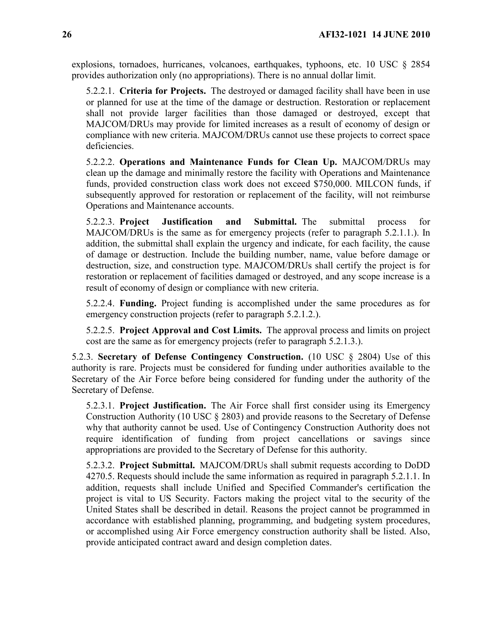explosions, tornadoes, hurricanes, volcanoes, earthquakes, typhoons, etc. 10 USC § 2854 provides authorization only (no appropriations). There is no annual dollar limit.

5.2.2.1. **Criteria for Projects.** The destroyed or damaged facility shall have been in use or planned for use at the time of the damage or destruction. Restoration or replacement shall not provide larger facilities than those damaged or destroyed, except that MAJCOM/DRUs may provide for limited increases as a result of economy of design or compliance with new criteria. MAJCOM/DRUs cannot use these projects to correct space deficiencies.

5.2.2.2. **Operations and Maintenance Funds for Clean Up.** MAJCOM/DRUs may clean up the damage and minimally restore the facility with Operations and Maintenance funds, provided construction class work does not exceed \$750,000. MILCON funds, if subsequently approved for restoration or replacement of the facility, will not reimburse Operations and Maintenance accounts.

5.2.2.3. **Project Justification and Submittal.** The submittal process for MAJCOM/DRUs is the same as for emergency projects (refer to paragraph 5.2.1.1.). In addition, the submittal shall explain the urgency and indicate, for each facility, the cause of damage or destruction. Include the building number, name, value before damage or destruction, size, and construction type. MAJCOM/DRUs shall certify the project is for restoration or replacement of facilities damaged or destroyed, and any scope increase is a result of economy of design or compliance with new criteria.

5.2.2.4. **Funding.** Project funding is accomplished under the same procedures as for emergency construction projects (refer to paragraph 5.2.1.2.).

5.2.2.5. **Project Approval and Cost Limits.** The approval process and limits on project cost are the same as for emergency projects (refer to paragraph 5.2.1.3.).

5.2.3. **Secretary of Defense Contingency Construction.** (10 USC § 2804) Use of this authority is rare. Projects must be considered for funding under authorities available to the Secretary of the Air Force before being considered for funding under the authority of the Secretary of Defense.

5.2.3.1. **Project Justification.** The Air Force shall first consider using its Emergency Construction Authority (10 USC § 2803) and provide reasons to the Secretary of Defense why that authority cannot be used. Use of Contingency Construction Authority does not require identification of funding from project cancellations or savings since appropriations are provided to the Secretary of Defense for this authority.

5.2.3.2. **Project Submittal.** MAJCOM/DRUs shall submit requests according to DoDD 4270.5. Requests should include the same information as required in paragraph 5.2.1.1. In addition, requests shall include Unified and Specified Commander's certification the project is vital to US Security. Factors making the project vital to the security of the United States shall be described in detail. Reasons the project cannot be programmed in accordance with established planning, programming, and budgeting system procedures, or accomplished using Air Force emergency construction authority shall be listed. Also, provide anticipated contract award and design completion dates.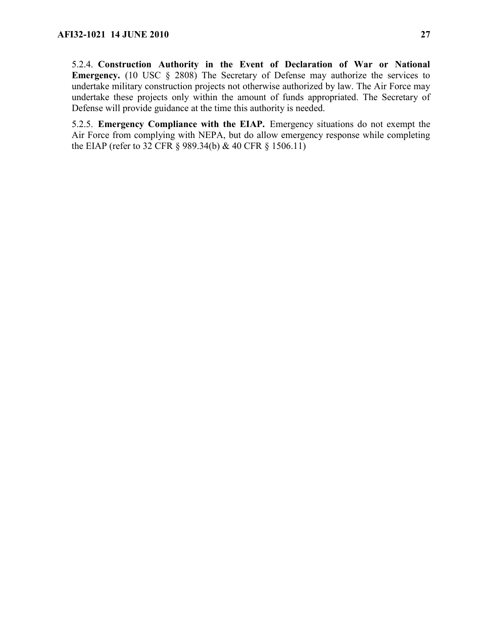5.2.5. **Emergency Compliance with the EIAP.** Emergency situations do not exempt the Air Force from complying with NEPA, but do allow emergency response while completing the EIAP (refer to 32 CFR § 989.34(b) & 40 CFR § 1506.11)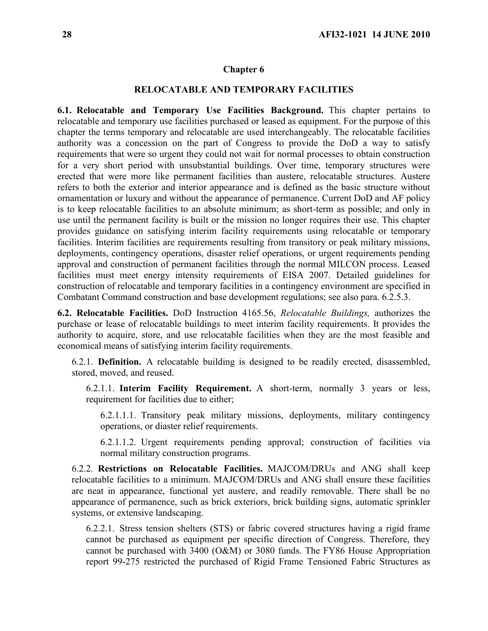#### <span id="page-27-0"></span>**Chapter 6**

#### **RELOCATABLE AND TEMPORARY FACILITIES**

<span id="page-27-1"></span>**6.1. Relocatable and Temporary Use Facilities Background.** This chapter pertains to relocatable and temporary use facilities purchased or leased as equipment. For the purpose of this chapter the terms temporary and relocatable are used interchangeably. The relocatable facilities authority was a concession on the part of Congress to provide the DoD a way to satisfy requirements that were so urgent they could not wait for normal processes to obtain construction for a very short period with unsubstantial buildings. Over time, temporary structures were erected that were more like permanent facilities than austere, relocatable structures. Austere refers to both the exterior and interior appearance and is defined as the basic structure without ornamentation or luxury and without the appearance of permanence. Current DoD and AF policy is to keep relocatable facilities to an absolute minimum; as short-term as possible; and only in use until the permanent facility is built or the mission no longer requires their use. This chapter provides guidance on satisfying interim facility requirements using relocatable or temporary facilities. Interim facilities are requirements resulting from transitory or peak military missions, deployments, contingency operations, disaster relief operations, or urgent requirements pending approval and construction of permanent facilities through the normal MILCON process. Leased facilities must meet energy intensity requirements of EISA 2007. Detailed guidelines for construction of relocatable and temporary facilities in a contingency environment are specified in Combatant Command construction and base development regulations; see also para. 6.2.5.3.

<span id="page-27-2"></span>**6.2. Relocatable Facilities.** DoD Instruction 4165.56, *Relocatable Buildings,* authorizes the purchase or lease of relocatable buildings to meet interim facility requirements. It provides the authority to acquire, store, and use relocatable facilities when they are the most feasible and economical means of satisfying interim facility requirements.

6.2.1. **Definition.** A relocatable building is designed to be readily erected, disassembled, stored, moved, and reused.

6.2.1.1. **Interim Facility Requirement.** A short-term, normally 3 years or less, requirement for facilities due to either;

6.2.1.1.1. Transitory peak military missions, deployments, military contingency operations, or diaster relief requirements.

6.2.1.1.2. Urgent requirements pending approval; construction of facilities via normal military construction programs.

6.2.2. **Restrictions on Relocatable Facilities.** MAJCOM/DRUs and ANG shall keep relocatable facilities to a minimum. MAJCOM/DRUs and ANG shall ensure these facilities are neat in appearance, functional yet austere, and readily removable. There shall be no appearance of permanence, such as brick exteriors, brick building signs, automatic sprinkler systems, or extensive landscaping.

6.2.2.1. Stress tension shelters (STS) or fabric covered structures having a rigid frame cannot be purchased as equipment per specific direction of Congress. Therefore, they cannot be purchased with 3400 (O&M) or 3080 funds. The FY86 House Appropriation report 99-275 restricted the purchased of Rigid Frame Tensioned Fabric Structures as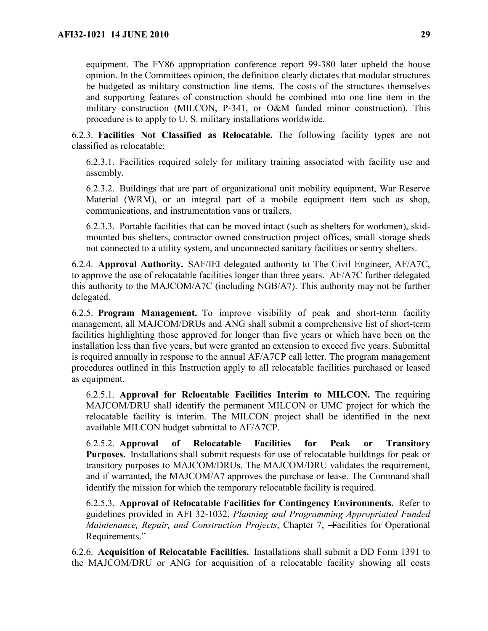equipment. The FY86 appropriation conference report 99-380 later upheld the house opinion. In the Committees opinion, the definition clearly dictates that modular structures be budgeted as military construction line items. The costs of the structures themselves and supporting features of construction should be combined into one line item in the military construction (MILCON, P-341, or O&M funded minor construction). This procedure is to apply to U. S. military installations worldwide.

6.2.3. **Facilities Not Classified as Relocatable.** The following facility types are not classified as relocatable:

6.2.3.1. Facilities required solely for military training associated with facility use and assembly.

6.2.3.2. Buildings that are part of organizational unit mobility equipment, War Reserve Material (WRM), or an integral part of a mobile equipment item such as shop, communications, and instrumentation vans or trailers.

6.2.3.3. Portable facilities that can be moved intact (such as shelters for workmen), skidmounted bus shelters, contractor owned construction project offices, small storage sheds not connected to a utility system, and unconnected sanitary facilities or sentry shelters.

6.2.4. **Approval Authority.** SAF/IEI delegated authority to The Civil Engineer, AF/A7C, to approve the use of relocatable facilities longer than three years. AF/A7C further delegated this authority to the MAJCOM/A7C (including NGB/A7). This authority may not be further delegated.

6.2.5. **Program Management.** To improve visibility of peak and short-term facility management, all MAJCOM/DRUs and ANG shall submit a comprehensive list of short-term facilities highlighting those approved for longer than five years or which have been on the installation less than five years, but were granted an extension to exceed five years. Submittal is required annually in response to the annual AF/A7CP call letter. The program management procedures outlined in this Instruction apply to all relocatable facilities purchased or leased as equipment.

6.2.5.1. **Approval for Relocatable Facilities Interim to MILCON.** The requiring MAJCOM/DRU shall identify the permanent MILCON or UMC project for which the relocatable facility is interim. The MILCON project shall be identified in the next available MILCON budget submittal to AF/A7CP.

6.2.5.2. **Approval of Relocatable Facilities for Peak or Transitory Purposes.** Installations shall submit requests for use of relocatable buildings for peak or transitory purposes to MAJCOM/DRUs. The MAJCOM/DRU validates the requirement, and if warranted, the MAJCOM/A7 approves the purchase or lease. The Command shall identify the mission for which the temporary relocatable facility is required.

6.2.5.3. **Approval of Relocatable Facilities for Contingency Environments.** Refer to guidelines provided in AFI 32-1032, *Planning and Programming Appropriated Funded Maintenance, Repair, and Construction Projects, Chapter 7, –Facilities for Operational* Requirements."

6.2.6. **Acquisition of Relocatable Facilities.** Installations shall submit a DD Form 1391 to the MAJCOM/DRU or ANG for acquisition of a relocatable facility showing all costs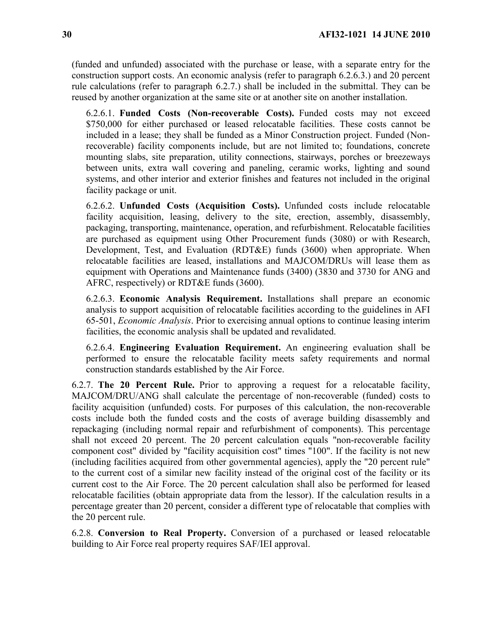(funded and unfunded) associated with the purchase or lease, with a separate entry for the construction support costs. An economic analysis (refer to paragraph 6.2.6.3.) and 20 percent rule calculations (refer to paragraph 6.2.7.) shall be included in the submittal. They can be reused by another organization at the same site or at another site on another installation.

6.2.6.1. **Funded Costs (Non-recoverable Costs).** Funded costs may not exceed \$750,000 for either purchased or leased relocatable facilities. These costs cannot be included in a lease; they shall be funded as a Minor Construction project. Funded (Nonrecoverable) facility components include, but are not limited to; foundations, concrete mounting slabs, site preparation, utility connections, stairways, porches or breezeways between units, extra wall covering and paneling, ceramic works, lighting and sound systems, and other interior and exterior finishes and features not included in the original facility package or unit.

6.2.6.2. **Unfunded Costs (Acquisition Costs).** Unfunded costs include relocatable facility acquisition, leasing, delivery to the site, erection, assembly, disassembly, packaging, transporting, maintenance, operation, and refurbishment. Relocatable facilities are purchased as equipment using Other Procurement funds (3080) or with Research, Development, Test, and Evaluation (RDT&E) funds (3600) when appropriate. When relocatable facilities are leased, installations and MAJCOM/DRUs will lease them as equipment with Operations and Maintenance funds (3400) (3830 and 3730 for ANG and AFRC, respectively) or RDT&E funds (3600).

6.2.6.3. **Economic Analysis Requirement.** Installations shall prepare an economic analysis to support acquisition of relocatable facilities according to the guidelines in AFI 65-501, *Economic Analysis*. Prior to exercising annual options to continue leasing interim facilities, the economic analysis shall be updated and revalidated.

6.2.6.4. **Engineering Evaluation Requirement.** An engineering evaluation shall be performed to ensure the relocatable facility meets safety requirements and normal construction standards established by the Air Force.

6.2.7. **The 20 Percent Rule.** Prior to approving a request for a relocatable facility, MAJCOM/DRU/ANG shall calculate the percentage of non-recoverable (funded) costs to facility acquisition (unfunded) costs. For purposes of this calculation, the non-recoverable costs include both the funded costs and the costs of average building disassembly and repackaging (including normal repair and refurbishment of components). This percentage shall not exceed 20 percent. The 20 percent calculation equals "non-recoverable facility component cost" divided by "facility acquisition cost" times "100". If the facility is not new (including facilities acquired from other governmental agencies), apply the "20 percent rule" to the current cost of a similar new facility instead of the original cost of the facility or its current cost to the Air Force. The 20 percent calculation shall also be performed for leased relocatable facilities (obtain appropriate data from the lessor). If the calculation results in a percentage greater than 20 percent, consider a different type of relocatable that complies with the 20 percent rule.

6.2.8. **Conversion to Real Property.** Conversion of a purchased or leased relocatable building to Air Force real property requires SAF/IEI approval.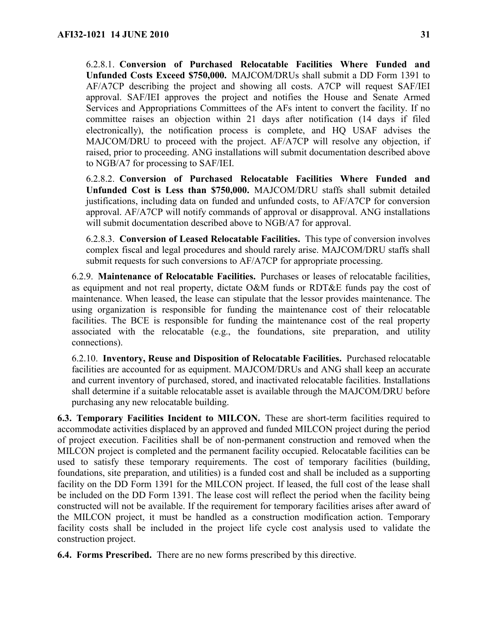6.2.8.1. **Conversion of Purchased Relocatable Facilities Where Funded and Unfunded Costs Exceed \$750,000.** MAJCOM/DRUs shall submit a DD Form 1391 to AF/A7CP describing the project and showing all costs. A7CP will request SAF/IEI approval. SAF/IEI approves the project and notifies the House and Senate Armed Services and Appropriations Committees of the AFs intent to convert the facility. If no committee raises an objection within 21 days after notification (14 days if filed electronically), the notification process is complete, and HQ USAF advises the MAJCOM/DRU to proceed with the project. AF/A7CP will resolve any objection, if raised, prior to proceeding. ANG installations will submit documentation described above to NGB/A7 for processing to SAF/IEI.

6.2.8.2. **Conversion of Purchased Relocatable Facilities Where Funded and Unfunded Cost is Less than \$750,000.** MAJCOM/DRU staffs shall submit detailed justifications, including data on funded and unfunded costs, to AF/A7CP for conversion approval. AF/A7CP will notify commands of approval or disapproval. ANG installations will submit documentation described above to NGB/A7 for approval.

6.2.8.3. **Conversion of Leased Relocatable Facilities.** This type of conversion involves complex fiscal and legal procedures and should rarely arise. MAJCOM/DRU staffs shall submit requests for such conversions to AF/A7CP for appropriate processing.

6.2.9. **Maintenance of Relocatable Facilities.** Purchases or leases of relocatable facilities, as equipment and not real property, dictate O&M funds or RDT&E funds pay the cost of maintenance. When leased, the lease can stipulate that the lessor provides maintenance. The using organization is responsible for funding the maintenance cost of their relocatable facilities. The BCE is responsible for funding the maintenance cost of the real property associated with the relocatable (e.g., the foundations, site preparation, and utility connections).

6.2.10. **Inventory, Reuse and Disposition of Relocatable Facilities.** Purchased relocatable facilities are accounted for as equipment. MAJCOM/DRUs and ANG shall keep an accurate and current inventory of purchased, stored, and inactivated relocatable facilities. Installations shall determine if a suitable relocatable asset is available through the MAJCOM/DRU before purchasing any new relocatable building.

<span id="page-30-0"></span>**6.3. Temporary Facilities Incident to MILCON.** These are short-term facilities required to accommodate activities displaced by an approved and funded MILCON project during the period of project execution. Facilities shall be of non-permanent construction and removed when the MILCON project is completed and the permanent facility occupied. Relocatable facilities can be used to satisfy these temporary requirements. The cost of temporary facilities (building, foundations, site preparation, and utilities) is a funded cost and shall be included as a supporting facility on the DD Form 1391 for the MILCON project. If leased, the full cost of the lease shall be included on the DD Form 1391. The lease cost will reflect the period when the facility being constructed will not be available. If the requirement for temporary facilities arises after award of the MILCON project, it must be handled as a construction modification action. Temporary facility costs shall be included in the project life cycle cost analysis used to validate the construction project.

<span id="page-30-1"></span>**6.4. Forms Prescribed.** There are no new forms prescribed by this directive.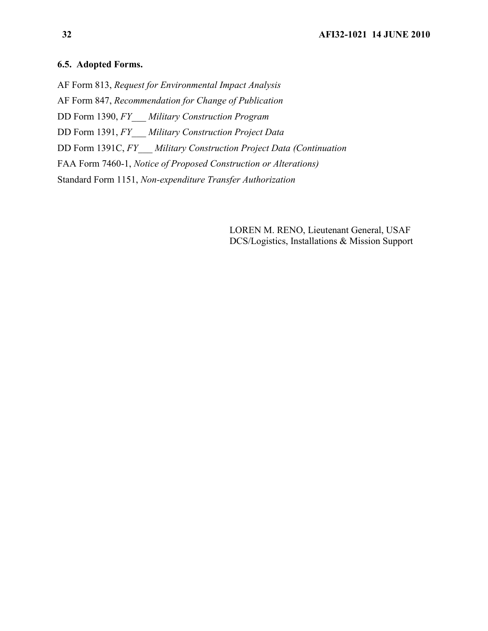#### <span id="page-31-0"></span>**6.5. Adopted Forms.**

AF Form 813, *Request for Environmental Impact Analysis*

AF Form 847, *Recommendation for Change of Publication*

DD Form 1390, *FY\_\_\_ Military Construction Program*

DD Form 1391, *FY\_\_\_ Military Construction Project Data*

DD Form 1391C, *FY\_\_\_ Military Construction Project Data (Continuation*

FAA Form 7460-1, *Notice of Proposed Construction or Alterations)*

Standard Form 1151, *Non-expenditure Transfer Authorization*

LOREN M. RENO, Lieutenant General, USAF DCS/Logistics, Installations & Mission Support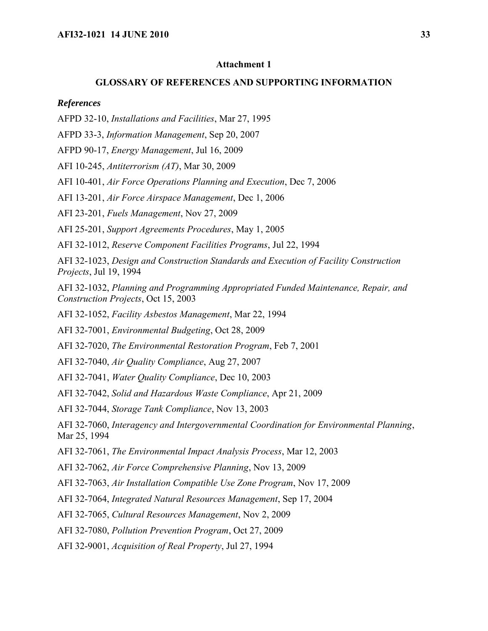#### <span id="page-32-0"></span>**Attachment 1**

## **GLOSSARY OF REFERENCES AND SUPPORTING INFORMATION**

#### *References*

AFPD 32-10, *Installations and Facilities*, Mar 27, 1995

AFPD 33-3, *Information Management*, Sep 20, 2007

AFPD 90-17, *Energy Management*, Jul 16, 2009

AFI 10-245, *Antiterrorism (AT)*, Mar 30, 2009

AFI 10-401, *Air Force Operations Planning and Execution*, Dec 7, 2006

AFI 13-201, *Air Force Airspace Management*, Dec 1, 2006

AFI 23-201, *Fuels Management*, Nov 27, 2009

AFI 25-201, *Support Agreements Procedures*, May 1, 2005

AFI 32-1012, *Reserve Component Facilities Programs*, Jul 22, 1994

AFI 32-1023, *Design and Construction Standards and Execution of Facility Construction Projects*, Jul 19, 1994

AFI 32-1032, *Planning and Programming Appropriated Funded Maintenance, Repair, and Construction Projects*, Oct 15, 2003

AFI 32-1052, *Facility Asbestos Management*, Mar 22, 1994

AFI 32-7001, *Environmental Budgeting*, Oct 28, 2009

AFI 32-7020, *The Environmental Restoration Program*, Feb 7, 2001

AFI 32-7040, *Air Quality Compliance*, Aug 27, 2007

AFI 32-7041, *Water Quality Compliance*, Dec 10, 2003

AFI 32-7042, *Solid and Hazardous Waste Compliance*, Apr 21, 2009

AFI 32-7044, *Storage Tank Compliance*, Nov 13, 2003

AFI 32-7060, *Interagency and Intergovernmental Coordination for Environmental Planning*, Mar 25, 1994

AFI 32-7061, *The Environmental Impact Analysis Process*, Mar 12, 2003

AFI 32-7062, *Air Force Comprehensive Planning*, Nov 13, 2009

AFI 32-7063, *Air Installation Compatible Use Zone Program*, Nov 17, 2009

AFI 32-7064, *Integrated Natural Resources Management*, Sep 17, 2004

AFI 32-7065, *Cultural Resources Management*, Nov 2, 2009

AFI 32-7080, *Pollution Prevention Program*, Oct 27, 2009

AFI 32-9001, *Acquisition of Real Property*, Jul 27, 1994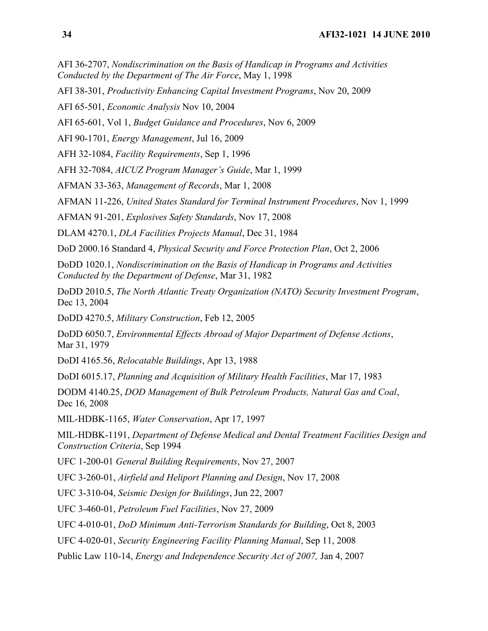AFI 36-2707, *Nondiscrimination on the Basis of Handicap in Programs and Activities Conducted by the Department of The Air Force*, May 1, 1998

AFI 38-301, *Productivity Enhancing Capital Investment Programs*, Nov 20, 2009

AFI 65-501, *Economic Analysis* Nov 10, 2004

AFI 65-601, Vol 1, *Budget Guidance and Procedures*, Nov 6, 2009

AFI 90-1701, *Energy Management*, Jul 16, 2009

AFH 32-1084, *Facility Requirements*, Sep 1, 1996

AFH 32-7084, *AICUZ Program Manager's Guide*, Mar 1, 1999

AFMAN 33-363, *Management of Records*, Mar 1, 2008

AFMAN 11-226, *United States Standard for Terminal Instrument Procedures*, Nov 1, 1999

AFMAN 91-201, *Explosives Safety Standards*, Nov 17, 2008

DLAM 4270.1, *DLA Facilities Projects Manual*, Dec 31, 1984

DoD 2000.16 Standard 4, *Physical Security and Force Protection Plan*, Oct 2, 2006

DoDD 1020.1, *Nondiscrimination on the Basis of Handicap in Programs and Activities Conducted by the Department of Defense*, Mar 31, 1982

DoDD 2010.5, *The North Atlantic Treaty Organization (NATO) Security Investment Program*, Dec 13, 2004

DoDD 4270.5, *Military Construction*, Feb 12, 2005

DoDD 6050.7, *Environmental Effects Abroad of Major Department of Defense Actions*, Mar 31, 1979

DoDI 4165.56, *Relocatable Buildings*, Apr 13, 1988

DoDI 6015.17, *Planning and Acquisition of Military Health Facilities*, Mar 17, 1983

DODM 4140.25, *DOD Management of Bulk Petroleum Products, Natural Gas and Coal*, Dec 16, 2008

MIL-HDBK-1165, *Water Conservation*, Apr 17, 1997

MIL-HDBK-1191, *Department of Defense Medical and Dental Treatment Facilities Design and Construction Criteria*, Sep 1994

UFC 1-200-01 *General Building Requirements*, Nov 27, 2007

UFC 3-260-01, *Airfield and Heliport Planning and Design*, Nov 17, 2008

UFC 3-310-04, *Seismic Design for Buildings*, Jun 22, 2007

UFC 3-460-01, *Petroleum Fuel Facilities*, Nov 27, 2009

UFC 4-010-01, *DoD Minimum Anti-Terrorism Standards for Building*, Oct 8, 2003

UFC 4-020-01, *Security Engineering Facility Planning Manual*, Sep 11, 2008

Public Law 110-14, *Energy and Independence Security Act of 2007,* Jan 4, 2007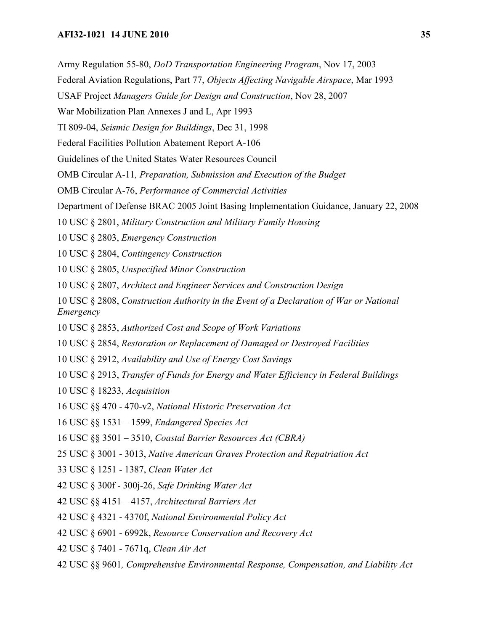- Army Regulation 55-80, *DoD Transportation Engineering Program*, Nov 17, 2003
- Federal Aviation Regulations, Part 77, *Objects Affecting Navigable Airspace*, Mar 1993
- USAF Project *Managers Guide for Design and Construction*, Nov 28, 2007
- War Mobilization Plan Annexes J and L, Apr 1993
- TI 809-04, *Seismic Design for Buildings*, Dec 31, 1998
- Federal Facilities Pollution Abatement Report A-106
- Guidelines of the United States Water Resources Council
- OMB Circular A-11*, Preparation, Submission and Execution of the Budget*
- OMB Circular A-76, *Performance of Commercial Activities*
- Department of Defense BRAC 2005 Joint Basing Implementation Guidance, January 22, 2008
- 10 USC § 2801, *Military Construction and Military Family Housing*
- 10 USC § 2803, *Emergency Construction*
- 10 USC § 2804, *Contingency Construction*
- 10 USC § 2805, *Unspecified Minor Construction*
- 10 USC § 2807, *Architect and Engineer Services and Construction Design*
- 10 USC § 2808, *Construction Authority in the Event of a Declaration of War or National Emergency*
- 10 USC § 2853, *Authorized Cost and Scope of Work Variations*
- 10 USC § 2854, *Restoration or Replacement of Damaged or Destroyed Facilities*
- 10 USC § 2912, *Availability and Use of Energy Cost Savings*
- 10 USC § 2913, *Transfer of Funds for Energy and Water Efficiency in Federal Buildings*
- 10 USC § 18233, *Acquisition*
- 16 USC §§ 470 470-v2, *National Historic Preservation Act*
- 16 USC §§ 1531 1599, *Endangered Species Act*
- 16 USC §§ 3501 3510, *Coastal Barrier Resources Act (CBRA)*
- 25 USC § 3001 3013, *Native American Graves Protection and Repatriation Act*
- 33 USC § 1251 1387, *Clean Water Act*
- 42 USC § 300f 300j-26, *Safe Drinking Water Act*
- 42 USC §§ 4151 4157, *Architectural Barriers Act*
- 42 USC § 4321 4370f, *National Environmental Policy Act*
- 42 USC § 6901 6992k, *Resource Conservation and Recovery Act*
- 42 USC § 7401 7671q, *Clean Air Act*
- 42 USC §§ 9601*, Comprehensive Environmental Response, Compensation, and Liability Act*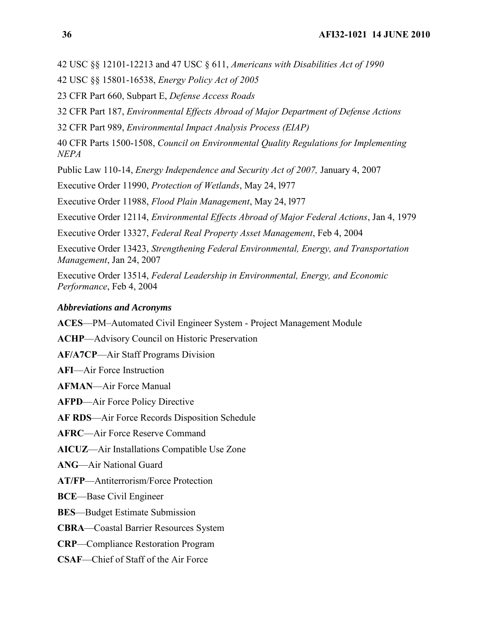42 USC §§ 12101-12213 and 47 USC § 611, *Americans with Disabilities Act of 1990*

42 USC §§ 15801-16538, *Energy Policy Act of 2005*

23 CFR Part 660, Subpart E, *Defense Access Roads*

32 CFR Part 187, *Environmental Effects Abroad of Major Department of Defense Actions*

32 CFR Part 989, *Environmental Impact Analysis Process (EIAP)*

40 CFR Parts 1500-1508, *Council on Environmental Quality Regulations for Implementing NEPA*

Public Law 110-14, *Energy Independence and Security Act of 2007,* January 4, 2007

Executive Order 11990, *Protection of Wetlands*, May 24, l977

Executive Order 11988, *Flood Plain Management*, May 24, l977

Executive Order 12114, *Environmental Effects Abroad of Major Federal Actions*, Jan 4, 1979

Executive Order 13327, *Federal Real Property Asset Management*, Feb 4, 2004

Executive Order 13423, *Strengthening Federal Environmental, Energy, and Transportation Management*, Jan 24, 2007

Executive Order 13514, *Federal Leadership in Environmental, Energy, and Economic Performance*, Feb 4, 2004

#### *Abbreviations and Acronyms*

**ACES**—PM–Automated Civil Engineer System - Project Management Module

- **ACHP**—Advisory Council on Historic Preservation
- **AF/A7CP**—Air Staff Programs Division

**AFI**—Air Force Instruction

**AFMAN**—Air Force Manual

**AFPD**—Air Force Policy Directive

**AF RDS**—Air Force Records Disposition Schedule

**AFRC**—Air Force Reserve Command

**AICUZ**—Air Installations Compatible Use Zone

**ANG**—Air National Guard

**AT/FP**—Antiterrorism/Force Protection

**BCE**—Base Civil Engineer

**BES**—Budget Estimate Submission

**CBRA**—Coastal Barrier Resources System

**CRP**—Compliance Restoration Program

**CSAF**—Chief of Staff of the Air Force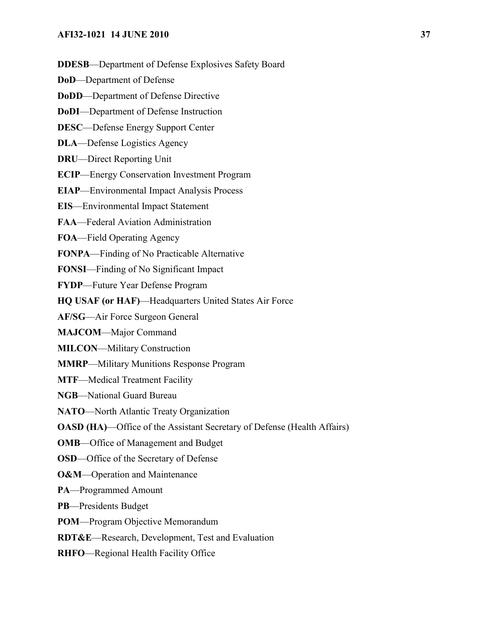**DDESB**—Department of Defense Explosives Safety Board

**DoD**—Department of Defense

**DoDD**—Department of Defense Directive

**DoDI**—Department of Defense Instruction

**DESC**—Defense Energy Support Center

**DLA**—Defense Logistics Agency

**DRU**—Direct Reporting Unit

**ECIP**—Energy Conservation Investment Program

**EIAP**—Environmental Impact Analysis Process

**EIS**—Environmental Impact Statement

**FAA**—Federal Aviation Administration

**FOA**—Field Operating Agency

**FONPA**—Finding of No Practicable Alternative

**FONSI**—Finding of No Significant Impact

**FYDP**—Future Year Defense Program

**HQ USAF (or HAF)**—Headquarters United States Air Force

**AF/SG**—Air Force Surgeon General

**MAJCOM**—Major Command

**MILCON**—Military Construction

**MMRP**—Military Munitions Response Program

**MTF**—Medical Treatment Facility

**NGB**—National Guard Bureau

**NATO**—North Atlantic Treaty Organization

**OASD (HA)—Office of the Assistant Secretary of Defense (Health Affairs)** 

**OMB**—Office of Management and Budget

**OSD**—Office of the Secretary of Defense

**O&M**—Operation and Maintenance

**PA**—Programmed Amount

**PB**—Presidents Budget

**POM**—Program Objective Memorandum

**RDT&E**—Research, Development, Test and Evaluation

**RHFO**—Regional Health Facility Office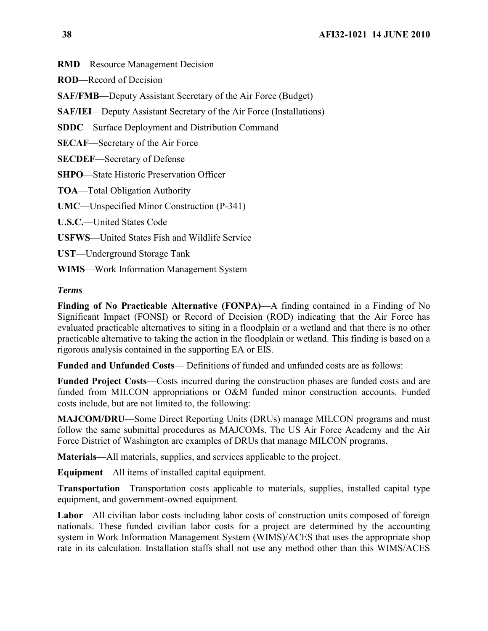**RMD**—Resource Management Decision

**ROD**—Record of Decision

**SAF/FMB**—Deputy Assistant Secretary of the Air Force (Budget)

**SAF/IEI**—Deputy Assistant Secretary of the Air Force (Installations)

**SDDC**—Surface Deployment and Distribution Command

**SECAF**—Secretary of the Air Force

**SECDEF**—Secretary of Defense

**SHPO**—State Historic Preservation Officer

**TOA**—Total Obligation Authority

**UMC**—Unspecified Minor Construction (P-341)

**U.S.C.**—United States Code

**USFWS**—United States Fish and Wildlife Service

**UST**—Underground Storage Tank

**WIMS**—Work Information Management System

#### *Terms*

**Finding of No Practicable Alternative (FONPA)**—A finding contained in a Finding of No Significant Impact (FONSI) or Record of Decision (ROD) indicating that the Air Force has evaluated practicable alternatives to siting in a floodplain or a wetland and that there is no other practicable alternative to taking the action in the floodplain or wetland. This finding is based on a rigorous analysis contained in the supporting EA or EIS.

**Funded and Unfunded Costs**— Definitions of funded and unfunded costs are as follows:

**Funded Project Costs**—Costs incurred during the construction phases are funded costs and are funded from MILCON appropriations or O&M funded minor construction accounts. Funded costs include, but are not limited to, the following:

**MAJCOM/DRU**—Some Direct Reporting Units (DRUs) manage MILCON programs and must follow the same submittal procedures as MAJCOMs. The US Air Force Academy and the Air Force District of Washington are examples of DRUs that manage MILCON programs.

**Materials**—All materials, supplies, and services applicable to the project.

**Equipment**—All items of installed capital equipment.

**Transportation**—Transportation costs applicable to materials, supplies, installed capital type equipment, and government-owned equipment.

**Labor**—All civilian labor costs including labor costs of construction units composed of foreign nationals. These funded civilian labor costs for a project are determined by the accounting system in Work Information Management System (WIMS)/ACES that uses the appropriate shop rate in its calculation. Installation staffs shall not use any method other than this WIMS/ACES